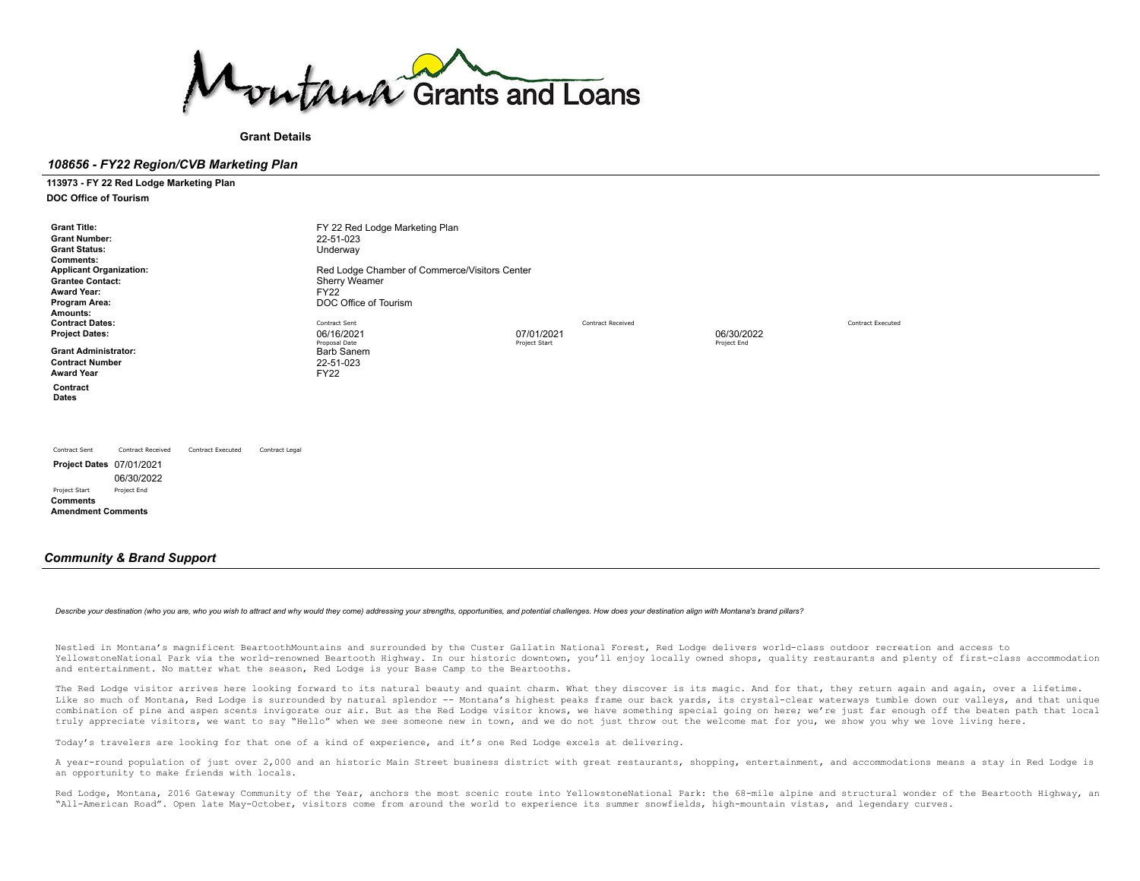

# **Grant Details**

# *108656 - FY22 Region/CVB Marketing Plan*

**113973 - FY 22 Red Lodge Marketing Plan**

**DOC Office of Tourism**

| <b>Grant Title:</b><br><b>Grant Number:</b><br><b>Grant Status:</b><br><b>Comments:</b><br><b>Applicant Organization:</b><br><b>Grantee Contact:</b><br><b>Award Year:</b><br>Program Area:<br>Amounts: |                                                       |                          |                | FY 22 Red Lodge Marketing Plan<br>22-51-023<br>Underway<br>Red Lodge Chamber of Commerce/Visitors Center<br><b>Sherry Weamer</b><br><b>FY22</b><br>DOC Office of Tourism |                             |                          |                           |                          |
|---------------------------------------------------------------------------------------------------------------------------------------------------------------------------------------------------------|-------------------------------------------------------|--------------------------|----------------|--------------------------------------------------------------------------------------------------------------------------------------------------------------------------|-----------------------------|--------------------------|---------------------------|--------------------------|
| <b>Contract Dates:</b><br><b>Project Dates:</b><br><b>Grant Administrator:</b><br><b>Contract Number</b>                                                                                                |                                                       |                          |                | Contract Sent<br>06/16/2021<br>Proposal Date<br><b>Barb Sanem</b><br>22-51-023                                                                                           | 07/01/2021<br>Project Start | <b>Contract Received</b> | 06/30/2022<br>Project End | <b>Contract Executed</b> |
| <b>Award Year</b><br>Contract<br>Dates                                                                                                                                                                  |                                                       |                          |                | <b>FY22</b>                                                                                                                                                              |                             |                          |                           |                          |
| Contract Sent<br>Project Dates 07/01/2021<br>Project Start<br><b>Comments</b><br><b>Amendment Comments</b>                                                                                              | <b>Contract Received</b><br>06/30/2022<br>Project End | <b>Contract Executed</b> | Contract Legal |                                                                                                                                                                          |                             |                          |                           |                          |

# *Community & Brand Support*

#### Describe your destination (who you are, who you wish to attract and why would they come) addressing your strengths, opportunities, and potential challenges. How does your destination align with Montana's brand pillars?

Nestled in Montana's magnificent BeartoothMountains and surrounded by the Custer Gallatin National Forest, Red Lodge delivers world-class outdoor recreation and access to YellowstoneNational Park via the world-renowned Beartooth Highway. In our historic downtown, you'll enjoy locally owned shops, quality restaurants and plenty of first-class accommodation and entertainment. No matter what the season, Red Lodge is your Base Camp to the Beartooths.

The Red Lodge visitor arrives here looking forward to its natural beauty and quaint charm. What they discover is its magic. And for that, they return again and again, over a lifetime. Like so much of Montana, Red Lodge is surrounded by natural splendor -- Montana's highest peaks frame our back yards, its crystal-clear waterways tumble down our valleys, and that unique combination of pine and aspen scents invigorate our air. But as the Red Lodge visitor knows, we have something special going on here; we're just far enough off the beaten path that local truly appreciate visitors, we want to say "Hello" when we see someone new in town, and we do not just throw out the welcome mat for you, we show you why we love living here.

Today's travelers are looking for that one of a kind of experience, and it's one Red Lodge excels at delivering.

A year-round population of just over 2,000 and an historic Main Street business district with great restaurants, shopping, entertainment, and accommodations means a stay in Red Lodge is an opportunity to make friends with locals.

Red Lodge, Montana, 2016 Gateway Community of the Year, anchors the most scenic route into YellowstoneNational Park: the 68-mile alpine and structural wonder of the Beartooth Highway, an "All-American Road". Open late May-October, visitors come from around the world to experience its summer snowfields, high-mountain vistas, and legendary curves.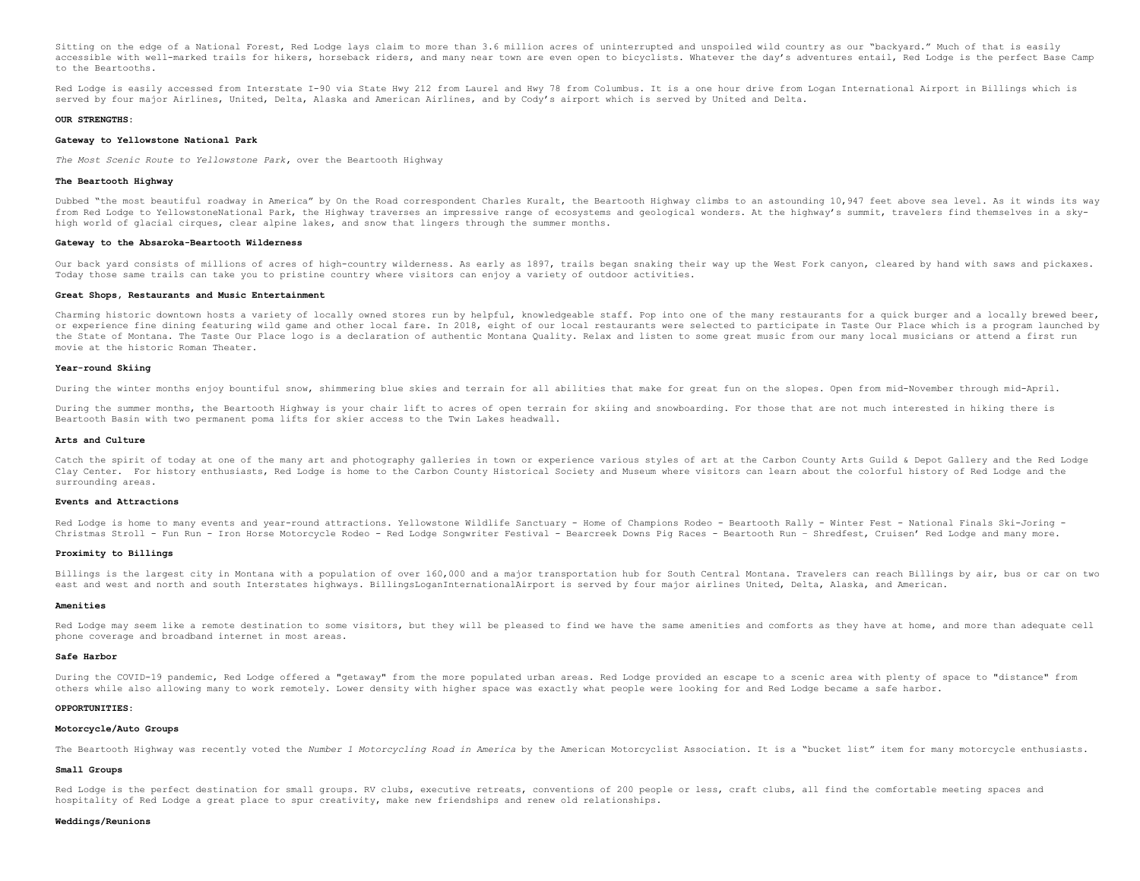Sitting on the edge of a National Forest, Red Lodge lays claim to more than 3.6 million acres of uninterrupted and unspoiled wild country as our "backyard." Much of that is easily accessible with well-marked trails for hikers, horseback riders, and many near town are even open to bicyclists. Whatever the day's adventures entail, Red Lodge is the perfect Base Camp to the Beartooths.

Red Lodge is easily accessed from Interstate I-90 via State Hwy 212 from Laurel and Hwy 78 from Columbus. It is a one hour drive from Logan International Airport in Billings which is served by four major Airlines, United, Delta, Alaska and American Airlines, and by Cody's airport which is served by United and Delta.

#### **OUR STRENGTHS:**

#### **Gateway to Yellowstone National Park**

*The Most Scenic Route to Yellowstone Park***,** over the Beartooth Highway

# **The Beartooth Highway**

Dubbed "the most beautiful roadway in America" by On the Road correspondent Charles Kuralt, the Beartooth Highway climbs to an astounding 10,947 feet above sea level. As it winds its way from Red Lodge to YellowstoneNational Park, the Highway traverses an impressive range of ecosystems and geological wonders. At the highway's summit, travelers find themselves in a skyhigh world of glacial cirques, clear alpine lakes, and snow that lingers through the summer months.

#### **Gateway to the Absaroka-Beartooth Wilderness**

Our back yard consists of millions of acres of high-country wilderness. As early as 1897, trails began snaking their way up the West Fork canyon, cleared by hand with saws and pickaxes. Today those same trails can take you to pristine country where visitors can enjoy a variety of outdoor activities.

### **Great Shops, Restaurants and Music Entertainment**

Charming historic downtown hosts a variety of locally owned stores run by helpful, knowledgeable staff. Pop into one of the many restaurants for a quick burger and a locally brewed beer, or experience fine dining featuring wild game and other local fare. In 2018, eight of our local restaurants were selected to participate in Taste Our Place which is a program launched by the State of Montana. The Taste Our Place logo is a declaration of authentic Montana Quality. Relax and listen to some great music from our many local musicians or attend a first run movie at the historic Roman Theater.

#### **Year-round Skiing**

During the winter months enjoy bountiful snow, shimmering blue skies and terrain for all abilities that make for great fun on the slopes. Open from mid-November through mid-April.

During the summer months, the Beartooth Highway is your chair lift to acres of open terrain for skiing and snowboarding. For those that are not much interested in hiking there is Beartooth Basin with two permanent poma lifts for skier access to the Twin Lakes headwall.

#### **Arts and Culture**

Catch the spirit of today at one of the many art and photography galleries in town or experience various styles of art at the Carbon County Arts Guild & Depot Gallery and the Red Lodge Clay Center. For history enthusiasts, Red Lodge is home to the Carbon County Historical Society and Museum where visitors can learn about the colorful history of Red Lodge and the surrounding areas.

#### **Events and Attractions**

Red Lodge is home to many events and year-round attractions. Yellowstone Wildlife Sanctuary - Home of Champions Rodeo - Beartooth Rally - Winter Fest - National Finals Ski-Joring -Christmas Stroll - Fun Run - Iron Horse Motorcycle Rodeo - Red Lodge Songwriter Festival - Bearcreek Downs Pig Races - Beartooth Run – Shredfest, Cruisen' Red Lodge and many more.

#### **Proximity to Billings**

Billings is the largest city in Montana with a population of over 160,000 and a major transportation hub for South Central Montana. Travelers can reach Billings by air, bus or car on two east and west and north and south Interstates highways. BillingsLoganInternationalAirport is served by four major airlines United, Delta, Alaska, and American.

#### **Amenities**

Red Lodge may seem like a remote destination to some visitors, but they will be pleased to find we have the same amenities and comforts as they have at home, and more than adequate cell phone coverage and broadband internet in most areas.

#### **Safe Harbor**

During the COVID-19 pandemic, Red Lodge offered a "getaway" from the more populated urban areas. Red Lodge provided an escape to a scenic area with plenty of space to "distance" from others while also allowing many to work remotely. Lower density with higher space was exactly what people were looking for and Red Lodge became a safe harbor.

#### **OPPORTUNITIES:**

#### **Motorcycle/Auto Groups**

The Beartooth Highway was recently voted the *Number 1 Motorcycling Road in America* by the American Motorcyclist Association. It is a "bucket list" item for many motorcycle enthusiasts.

# **Small Groups**

Red Lodge is the perfect destination for small groups. RV clubs, executive retreats, conventions of 200 people or less, craft clubs, all find the comfortable meeting spaces and hospitality of Red Lodge a great place to spur creativity, make new friendships and renew old relationships.

#### **Weddings/Reunions**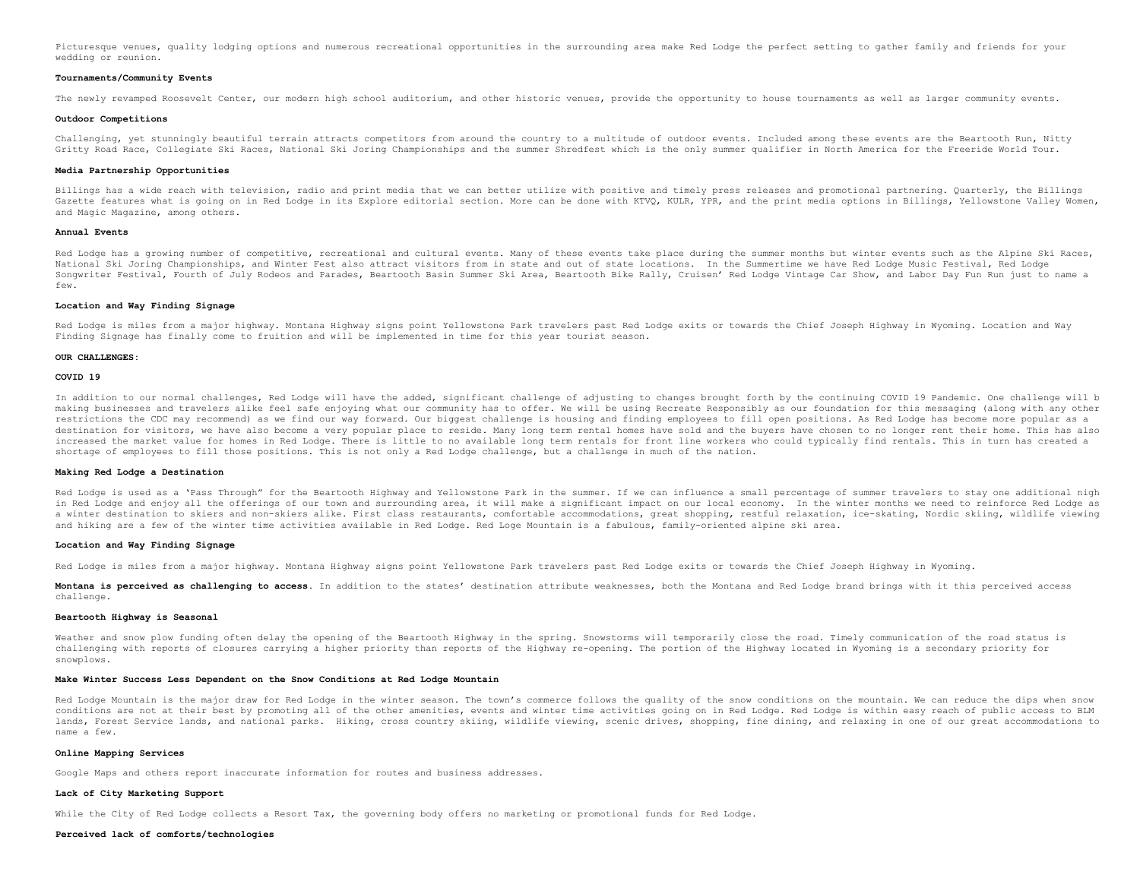Picturesque venues, quality lodging options and numerous recreational opportunities in the surrounding area make Red Lodge the perfect setting to gather family and friends for your wedding or reunion.

#### **Tournaments/Community Events**

The newly revamped Roosevelt Center, our modern high school auditorium, and other historic venues, provide the opportunity to house tournaments as well as larger community events.

#### **Outdoor Competitions**

Challenging, yet stunningly beautiful terrain attracts competitors from around the country to a multitude of outdoor events. Included among these events are the Beartooth Run, Nitty Gritty Road Race, Collegiate Ski Races, National Ski Joring Championships and the summer Shredfest which is the only summer qualifier in North America for the Freeride World Tour.

# **Media Partnership Opportunities**

Billings has a wide reach with television, radio and print media that we can better utilize with positive and timely press releases and promotional partnering. Quarterly, the Billings Gazette features what is going on in Red Lodge in its Explore editorial section. More can be done with KTVO, KULR, YPR, and the print media options in Billings, Yellowstone Valley Women, and Magic Magazine, among others.

#### **Annual Events**

Red Lodge has a growing number of competitive, recreational and cultural events. Many of these events take place during the summer months but winter events such as the Alpine Ski Races, National Ski Joring Championships, and Winter Fest also attract visitors from in state and out of state locations. In the Summertime we have Red Lodge Music Festival, Red Lodge Songwriter Festival, Fourth of July Rodeos and Parades, Beartooth Basin Summer Ski Area, Beartooth Bike Rally, Cruisen' Red Lodge Vintage Car Show, and Labor Day Fun Run just to name a  $f_{\text{out}}$ 

# **Location and Way Finding Signage**

Red Lodge is miles from a major highway. Montana Highway signs point Yellowstone Park travelers past Red Lodge exits or towards the Chief Joseph Highway in Wyoming. Location and Way Finding Signage has finally come to fruition and will be implemented in time for this year tourist season.

#### **OUR CHALLENGES:**

#### **COVID 19**

In addition to our normal challenges, Red Lodge will have the added, significant challenge of adjusting to changes brought forth by the continuing COVID 19 Pandemic. One challenge will b making businesses and travelers alike feel safe enjoying what our community has to offer. We will be using Recreate Responsibly as our foundation for this messaging (along with any other restrictions the CDC may recommend) as we find our way forward. Our biggest challenge is housing and finding employees to fill open positions. As Red Lodge has become more popular as a destination for visitors, we have also become a very popular place to reside. Many long term rental homes have sold and the buyers have chosen to no longer rent their home. This has also increased the market value for homes in Red Lodge. There is little to no available long term rentals for front line workers who could typically find rentals. This in turn has created a shortage of employees to fill those positions. This is not only a Red Lodge challenge, but a challenge in much of the nation.

#### **Making Red Lodge a Destination**

Red Lodge is used as a 'Pass Through" for the Beartooth Highway and Yellowstone Park in the summer. If we can influence a small percentage of summer travelers to stay one additional nigh in Red Lodge and enjoy all the offerings of our town and surrounding area, it will make a significant impact on our local economy. In the winter months we need to reinforce Red Lodge as a winter destination to skiers and non-skiers alike. First class restaurants, comfortable accommodations, great shopping, restful relaxation, ice-skating, Nordic skiing, wildlife viewing and hiking are a few of the winter time activities available in Red Lodge. Red Loge Mountain is a fabulous, family-oriented alpine ski area.

#### **Location and Way Finding Signage**

Red Lodge is miles from a major highway. Montana Highway signs point Yellowstone Park travelers past Red Lodge exits or towards the Chief Joseph Highway in Wyoming.

**Montana is perceived as challenging to access.** In addition to the states' destination attribute weaknesses, both the Montana and Red Lodge brand brings with it this perceived access challenge.

# **Beartooth Highway is Seasonal**

Weather and snow plow funding often delay the opening of the Beartooth Highway in the spring. Snowstorms will temporarily close the road. Timely communication of the road status is challenging with reports of closures carrying a higher priority than reports of the Highway re-opening. The portion of the Highway located in Wyoming is a secondary priority for snowplows.

#### **Make Winter Success Less Dependent on the Snow Conditions at Red Lodge Mountain**

Red Lodge Mountain is the major draw for Red Lodge in the winter season. The town's commerce follows the quality of the snow conditions on the mountain. We can reduce the dips when snow conditions are not at their best by promoting all of the other amenities, events and winter time activities going on in Red Lodge. Red Lodge is within easy reach of public access to BLM lands, Forest Service lands, and national parks. Hiking, cross country skiing, wildlife viewing, scenic drives, shopping, fine dining, and relaxing in one of our great accommodations to name a few.

# **Online Mapping Services**

Google Maps and others report inaccurate information for routes and business addresses.

# **Lack of City Marketing Support**

While the City of Red Lodge collects a Resort Tax, the governing body offers no marketing or promotional funds for Red Lodge.

#### **Perceived lack of comforts/technologies**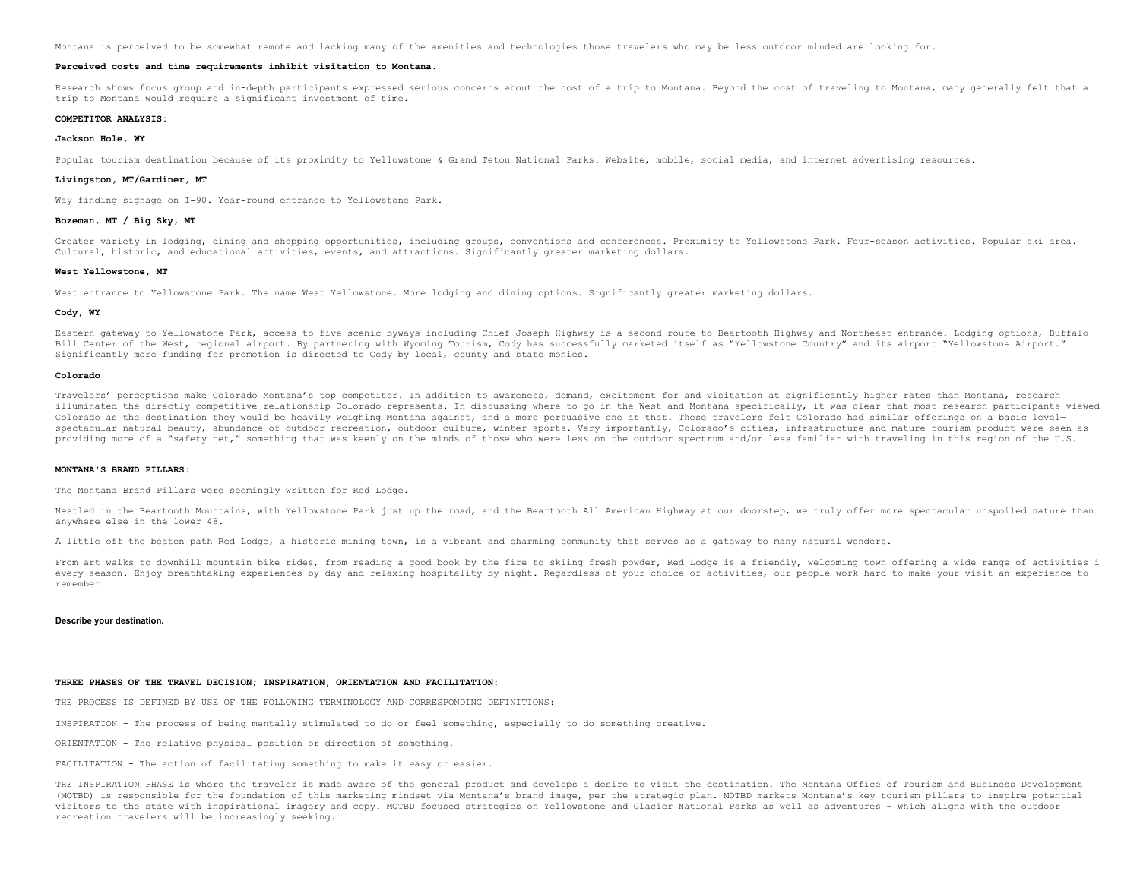Montana is perceived to be somewhat remote and lacking many of the amenities and technologies those travelers who may be less outdoor minded are looking for.

#### **Perceived costs and time requirements inhibit visitation to Montana.**

Research shows focus group and in-depth participants expressed serious concerns about the cost of a trip to Montana. Beyond the cost of traveling to Montana, many generally felt that a trip to Montana would require a significant investment of time.

#### **COMPETITOR ANALYSIS:**

# **Jackson Hole, WY**

Popular tourism destination because of its proximity to Yellowstone & Grand Teton National Parks. Website, mobile, social media, and internet advertising resources.

#### **Livingston, MT/Gardiner, MT**

Way finding signage on I-90. Year-round entrance to Yellowstone Park.

#### **Bozeman, MT / Big Sky, MT**

Greater variety in lodging, dining and shopping opportunities, including groups, conventions and conferences. Proximity to Yellowstone Park. Four-season activities. Popular ski area. Cultural, historic, and educational activities, events, and attractions. Significantly greater marketing dollars.

#### **West Yellowstone, MT**

West entrance to Yellowstone Park. The name West Yellowstone. More lodging and dining options. Significantly greater marketing dollars.

#### **Cody, WY**

Eastern gateway to Yellowstone Park, access to five scenic byways including Chief Joseph Highway is a second route to Beartooth Highway and Northeast entrance. Lodging options, Buffalo Bill Center of the West, regional airport. By partnering with Wyoming Tourism, Cody has successfully marketed itself as "Yellowstone Country" and its airport "Yellowstone Airport." Significantly more funding for promotion is directed to Cody by local, county and state monies.

#### **Colorado**

Travelers' perceptions make Colorado Montana's top competitor. In addition to awareness, demand, excitement for and visitation at significantly higher rates than Montana, research illuminated the directly competitive relationship Colorado represents. In discussing where to go in the West and Montana specifically, it was clear that most research participants viewed Colorado as the destination they would be heavily weighing Montana against, and a more persuasive one at that. These travelers felt Colorado had similar offerings on a basic levelspectacular natural beauty, abundance of outdoor recreation, outdoor culture, winter sports. Very importantly, Colorado's cities, infrastructure and mature tourism product were seen as providing more of a "safety net," something that was keenly on the minds of those who were less on the outdoor spectrum and/or less familiar with traveling in this region of the U.S.

#### **MONTANA'S BRAND PILLARS:**

The Montana Brand Pillars were seemingly written for Red Lodge.

Nestled in the Beartooth Mountains, with Yellowstone Park just up the road, and the Beartooth All American Highway at our doorstep, we truly offer more spectacular unspoiled nature than anywhere else in the lower 48.

A little off the beaten path Red Lodge, a historic mining town, is a vibrant and charming community that serves as a gateway to many natural wonders.

From art walks to downhill mountain bike rides, from reading a good book by the fire to skiing fresh powder, Red Lodge is a friendly, welcoming town offering a wide range of activities i every season. Enjoy breathtaking experiences by day and relaxing hospitality by night. Regardless of your choice of activities, our people work hard to make your visit an experience to remember.

#### **Describe your destination.**

# **THREE PHASES OF THE TRAVEL DECISION; INSPIRATION, ORIENTATION AND FACILITATION:**

THE PROCESS IS DEFINED BY USE OF THE FOLLOWING TERMINOLOGY AND CORRESPONDING DEFINITIONS:

INSPIRATION - The process of being mentally stimulated to do or feel something, especially to do something creative.

ORIENTATION - The relative physical position or direction of something.

FACILITATION - The action of facilitating something to make it easy or easier.

THE INSPIRATION PHASE is where the traveler is made aware of the general product and develops a desire to visit the destination. The Montana Office of Tourism and Business Development (MOTBD) is responsible for the foundation of this marketing mindset via Montana's brand image, per the strategic plan. MOTBD markets Montana's key tourism pillars to inspire potential visitors to the state with inspirational imagery and copy. MOTBD focused strategies on Yellowstone and Glacier National Parks as well as adventures – which aligns with the outdoor recreation travelers will be increasingly seeking.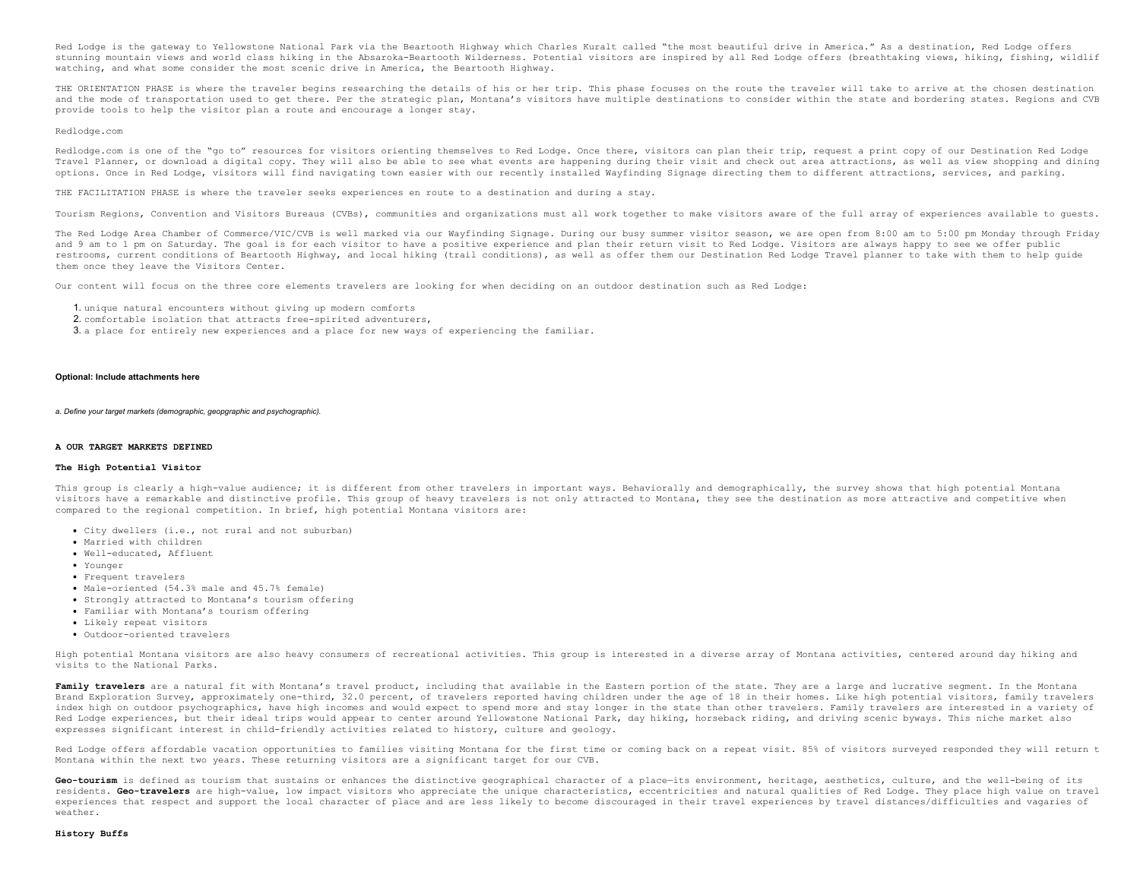Red Lodge is the gateway to Yellowstone National Park via the Beartooth Highway which Charles Kuralt called "the most beautiful drive in America." As a destination, Red Lodge offers stunning mountain views and world class hiking in the Absaroka-Beartooth Wilderness. Potential visitors are inspired by all Red Lodge offers (breathtaking views, hiking, fishing, wildlif watching, and what some consider the most scenic drive in America, the Beartooth Highway.

THE ORIENTATION PHASE is where the traveler begins researching the details of his or her trip. This phase focuses on the route the traveler will take to arrive at the chosen destination and the mode of transportation used to get there. Per the strategic plan, Montana's visitors have multiple destinations to consider within the state and bordering states. Regions and CVB provide tools to help the visitor plan a route and encourage a longer stay.

#### Redlodge.com

Redlodge.com is one of the "go to" resources for visitors orienting themselves to Red Lodge. Once there, visitors can plan their trip, request a print copy of our Destination Red Lodge Travel Planner, or download a digital copy. They will also be able to see what events are happening during their visit and check out area attractions, as well as view shopping and dining options. Once in Red Lodge, visitors will find navigating town easier with our recently installed Wayfinding Signage directing them to different attractions, services, and parking.

THE FACILITATION PHASE is where the traveler seeks experiences en route to a destination and during a stay.

Tourism Regions, Convention and Visitors Bureaus (CVBs), communities and organizations must all work together to make visitors aware of the full array of experiences available to guests.

The Red Lodge Area Chamber of Commerce/VIC/CVB is well marked via our Wayfinding Signage. During our busy summer visitor season, we are open from 8:00 am to 5:00 pm Monday through Friday and 9 am to 1 pm on Saturday. The goal is for each visitor to have a positive experience and plan their return visit to Red Lodge. Visitors are always happy to see we offer public restrooms, current conditions of Beartooth Highway, and local hiking (trail conditions), as well as offer them our Destination Red Lodge Travel planner to take with them to help guide them once they leave the Visitors Center.

Our content will focus on the three core elements travelers are looking for when deciding on an outdoor destination such as Red Lodge:

- 1. unique natural encounters without giving up modern comforts
- 2. comfortable isolation that attracts free-spirited adventurers,
- 3. a place for entirely new experiences and a place for new ways of experiencing the familiar.

#### **Optional: Include attachments here**

*a. Define your target markets (demographic, geopgraphic and psychographic).*

#### **A OUR TARGET MARKETS DEFINED**

#### **The High Potential Visitor**

This group is clearly a high-value audience; it is different from other travelers in important ways. Behaviorally and demographically, the survey shows that high potential Montana visitors have a remarkable and distinctive profile. This group of heavy travelers is not only attracted to Montana, they see the destination as more attractive and competitive when compared to the regional competition. In brief, high potential Montana visitors are:

- City dwellers (i.e., not rural and not suburban)
- Married with children
- Well-educated, Affluent
- Younger
- Frequent travelers
- Male-oriented (54.3% male and 45.7% female)
- Strongly attracted to Montana's tourism offering
- Familiar with Montana's tourism offering
- Likely repeat visitors
- Outdoor-oriented travelers

High potential Montana visitors are also heavy consumers of recreational activities. This group is interested in a diverse array of Montana activities, centered around day hiking and visits to the National Parks.

Family travelers are a natural fit with Montana's travel product, including that available in the Eastern portion of the state. They are a large and lucrative segment. In the Montana Brand Exploration Survey, approximately one-third, 32.0 percent, of travelers reported having children under the age of 18 in their homes. Like high potential visitors, family travelers index high on outdoor psychographics, have high incomes and would expect to spend more and stay longer in the state than other travelers. Family travelers are interested in a variety of Red Lodge experiences, but their ideal trips would appear to center around Yellowstone National Park, day hiking, horseback riding, and driving scenic byways. This niche market also expresses significant interest in child-friendly activities related to history, culture and geology.

Red Lodge offers affordable vacation opportunities to families visiting Montana for the first time or coming back on a repeat visit. 85% of visitors surveyed responded they will return t Montana within the next two years. These returning visitors are a significant target for our CVB.

Geo-tourism is defined as tourism that sustains or enhances the distinctive geographical character of a place-its environment, heritage, aesthetics, culture, and the well-being of its residents. **Geo-travelers** are high-value, low impact visitors who appreciate the unique characteristics, eccentricities and natural qualities of Red Lodge. They place high value on travel experiences that respect and support the local character of place and are less likely to become discouraged in their travel experiences by travel distances/difficulties and vagaries of weather.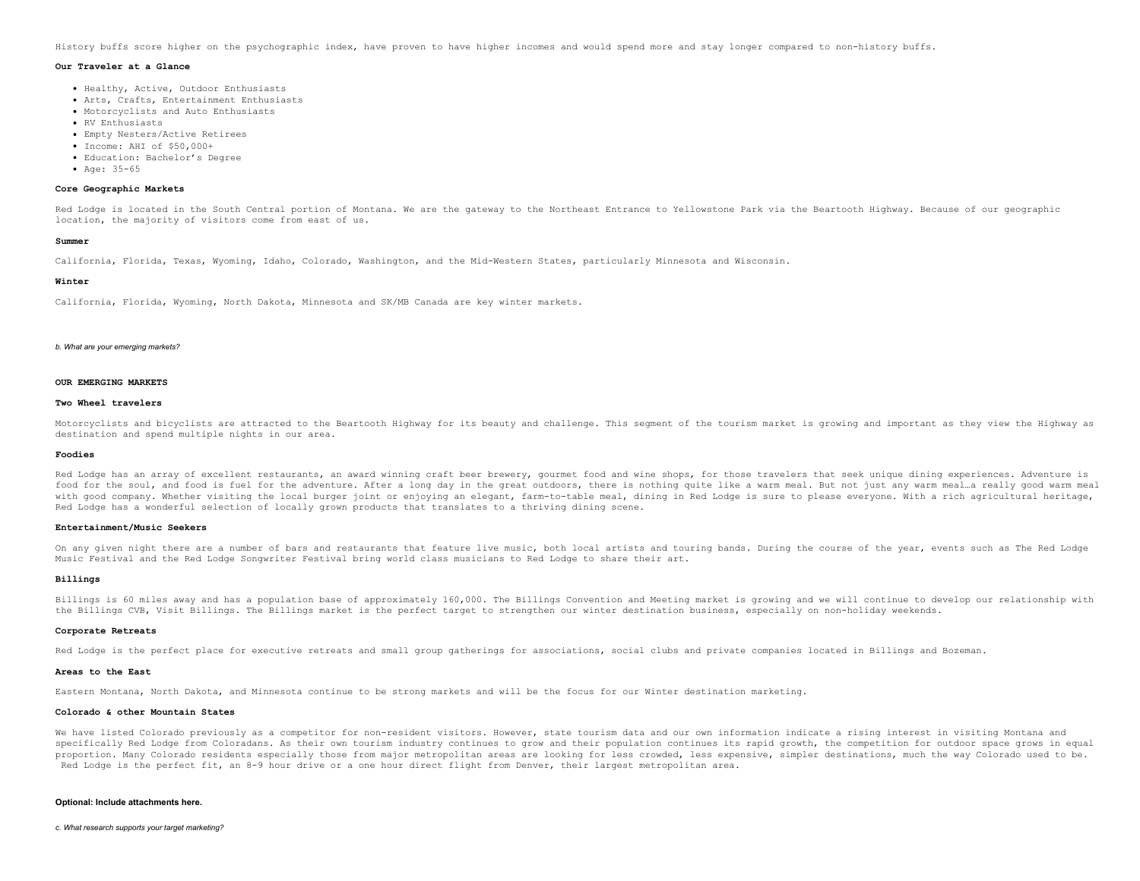History buffs score higher on the psychographic index, have proven to have higher incomes and would spend more and stay longer compared to non-history buffs.

#### **Our Traveler at a Glance**

- Healthy, Active, Outdoor Enthusiasts
- Arts, Crafts, Entertainment Enthusiasts
- Motorcyclists and Auto Enthusiasts
- RV Enthusiasts
- Empty Nesters/Active Retirees
- Income: AHI of \$50,000+
- Education: Bachelor's Degree
- Age: 35-65

### **Core Geographic Markets**

Red Lodge is located in the South Central portion of Montana. We are the gateway to the Northeast Entrance to Yellowstone Park via the Beartooth Highway. Because of our geographic location, the majority of visitors come from east of us.

### **Summer**

California, Florida, Texas, Wyoming, Idaho, Colorado, Washington, and the Mid-Western States, particularly Minnesota and Wisconsin.

#### **Winter**

California, Florida, Wyoming, North Dakota, Minnesota and SK/MB Canada are key winter markets.

#### *b. What are your emerging markets?*

# **OUR EMERGING MARKETS**

### **Two Wheel travelers**

Motorcyclists and bicyclists are attracted to the Beartooth Highway for its beauty and challenge. This segment of the tourism market is growing and important as they view the Highway as destination and spend multiple nights in our area.

#### **Foodies**

Red Lodge has an array of excellent restaurants, an award winning craft beer brewery, gourmet food and wine shops, for those travelers that seek unique dining experiences. Adventure is food for the soul, and food is fuel for the adventure. After a long day in the great outdoors, there is nothing quite like a warm meal. But not just any warm meal…a really good warm meal with good company. Whether visiting the local burger joint or enjoying an elegant, farm-to-table meal, dining in Red Lodge is sure to please everyone. With a rich agricultural heritage, Red Lodge has a wonderful selection of locally grown products that translates to a thriving dining scene.

#### **Entertainment/Music Seekers**

On any given night there are a number of bars and restaurants that feature live music, both local artists and touring bands. During the course of the year, events such as The Red Lodge Music Festival and the Red Lodge Songwriter Festival bring world class musicians to Red Lodge to share their art.

#### **Billings**

Billings is 60 miles away and has a population base of approximately 160,000. The Billings Convention and Meeting market is growing and we will continue to develop our relationship with the Billings CVB, Visit Billings. The Billings market is the perfect target to strengthen our winter destination business, especially on non-holiday weekends.

#### **Corporate Retreats**

Red Lodge is the perfect place for executive retreats and small group gatherings for associations, social clubs and private companies located in Billings and Bozeman.

#### **Areas to the East**

Eastern Montana, North Dakota, and Minnesota continue to be strong markets and will be the focus for our Winter destination marketing.

#### **Colorado & other Mountain States**

We have listed Colorado previously as a competitor for non-resident visitors. However, state tourism data and our own information indicate a rising interest in visiting Montana and specifically Red Lodge from Coloradans. As their own tourism industry continues to grow and their population continues its rapid growth, the competition for outdoor space grows in equal proportion. Many Colorado residents especially those from major metropolitan areas are looking for less crowded, less expensive, simpler destinations, much the way Colorado used to be. Red Lodge is the perfect fit, an 8-9 hour drive or a one hour direct flight from Denver, their largest metropolitan area.

# **Optional: Include attachments here.**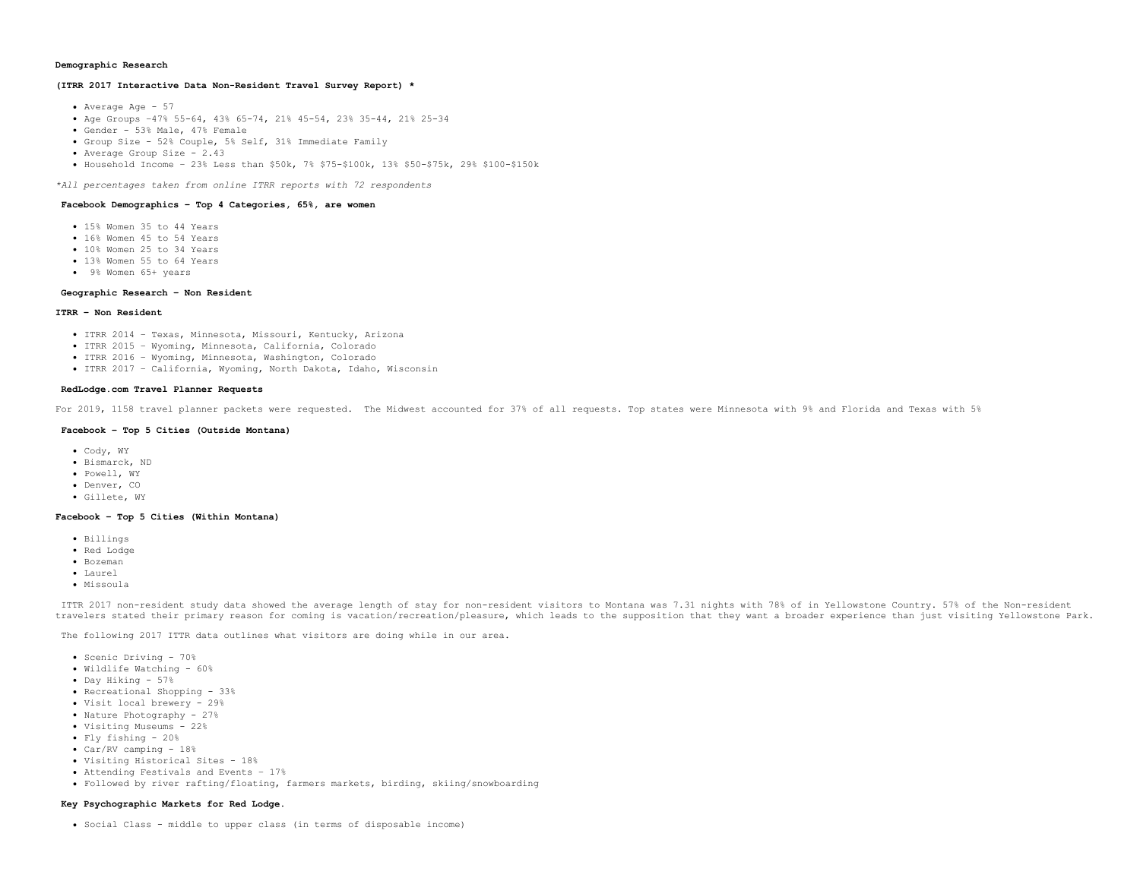# **Demographic Research**

# **(ITRR 2017 Interactive Data Non-Resident Travel Survey Report) \***

- Average Age 57
- Age Groups –47% 55-64, 43% 65-74, 21% 45-54, 23% 35-44, 21% 25-34
- Gender 53% Male, 47% Female
- Group Size 52% Couple, 5% Self, 31% Immediate Family
- Average Group Size 2.43
- Household Income 23% Less than \$50k, 7% \$75-\$100k, 13% \$50-\$75k, 29% \$100-\$150k

*\*All percentages taken from online ITRR reports with 72 respondents*

# **Facebook Demographics – Top 4 Categories, 65%, are women**

- 15% Women 35 to 44 Years
- . 16% Women 45 to 54 Years
- 10% Women 25 to 34 Years
- 13% Women 55 to 64 Years
- 9% Women 65+ years

### **Geographic Research – Non Resident**

# **ITRR – Non Resident**

- ITRR 2014 Texas, Minnesota, Missouri, Kentucky, Arizona
- ITRR 2015 Wyoming, Minnesota, California, Colorado
- ITRR 2016 Wyoming, Minnesota, Washington, Colorado
- ITRR 2017 California, Wyoming, North Dakota, Idaho, Wisconsin

# **RedLodge.com Travel Planner Requests**

For 2019, 1158 travel planner packets were requested. The Midwest accounted for 37% of all requests. Top states were Minnesota with 9% and Florida and Texas with 5%

# **Facebook – Top 5 Cities (Outside Montana)**

- Cody, WY
- Bismarck, ND
- Powell, WY
- · Denver, CO
- Gillete, WY

# **Facebook – Top 5 Cities (Within Montana)**

- Billings
- Red Lodge
- Bozeman
- Laurel
- Missoula

ITTR 2017 non-resident study data showed the average length of stay for non-resident visitors to Montana was 7.31 nights with 78% of in Yellowstone Country. 57% of the Non-resident travelers stated their primary reason for coming is vacation/recreation/pleasure, which leads to the supposition that they want a broader experience than just visiting Yellowstone Park.

The following 2017 ITTR data outlines what visitors are doing while in our area.

- Scenic Driving 70%
- Wildlife Watching 60%
- Day Hiking 57%
- Recreational Shopping 33%
- Visit local brewery 29%
- Nature Photography 27%
- Visiting Museums 22%
- Fly fishing 20%
- Car/RV camping 18%
- Visiting Historical Sites 18%
- Attending Festivals and Events 17%
- Followed by river rafting/floating, farmers markets, birding, skiing/snowboarding

# **Key Psychographic Markets for Red Lodge**.

Social Class - middle to upper class (in terms of disposable income)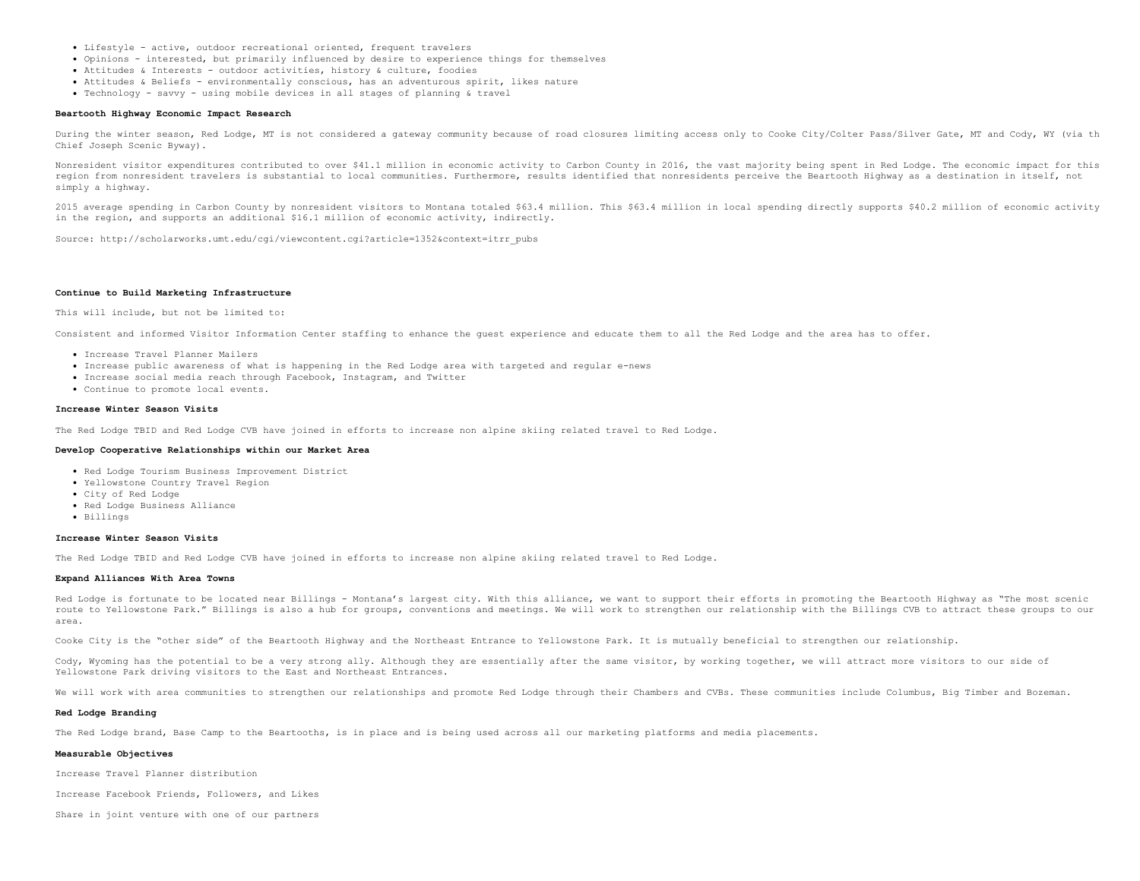- Lifestyle active, outdoor recreational oriented, frequent travelers
- Opinions interested, but primarily influenced by desire to experience things for themselves
- Attitudes & Interests outdoor activities, history & culture, foodies
- Attitudes & Beliefs environmentally conscious, has an adventurous spirit, likes nature
- Technology savvy using mobile devices in all stages of planning & travel

#### **Beartooth Highway Economic Impact Research**

During the winter season, Red Lodge, MT is not considered a gateway community because of road closures limiting access only to Cooke City/Colter Pass/Silver Gate, MT and Cody, WY (via th Chief Joseph Scenic Byway).

Nonresident visitor expenditures contributed to over \$41.1 million in economic activity to Carbon County in 2016, the vast majority being spent in Red Lodge. The economic impact for this region from nonresident travelers is substantial to local communities. Furthermore, results identified that nonresidents perceive the Beartooth Highway as a destination in itself, not simply a highway.

2015 average spending in Carbon County by nonresident visitors to Montana totaled \$63.4 million. This \$63.4 million in local spending directly supports \$40.2 million of economic activity in the region, and supports an additional \$16.1 million of economic activity, indirectly.

Source: [http://scholarworks.umt.edu/cgi/viewcontent.cgi?article=1352&context=itrr\\_pubs](http://scholarworks.umt.edu/cgi/viewcontent.cgi?article=1352&context=itrr_pubs)

#### **Continue to Build Marketing Infrastructure**

#### This will include, but not be limited to:

Consistent and informed Visitor Information Center staffing to enhance the guest experience and educate them to all the Red Lodge and the area has to offer.

- Increase Travel Planner Mailers
- Increase public awareness of what is happening in the Red Lodge area with targeted and regular e-news
- Increase social media reach through Facebook, Instagram, and Twitter
- Continue to promote local events.

### **Increase Winter Season Visits**

The Red Lodge TBID and Red Lodge CVB have joined in efforts to increase non alpine skiing related travel to Red Lodge.

#### **Develop Cooperative Relationships within our Market Area**

- Red Lodge Tourism Business Improvement District
- Yellowstone Country Travel Region
- City of Red Lodge
- Red Lodge Business Alliance
- Billings

#### **Increase Winter Season Visits**

The Red Lodge TBID and Red Lodge CVB have joined in efforts to increase non alpine skiing related travel to Red Lodge.

#### **Expand Alliances With Area Towns**

Red Lodge is fortunate to be located near Billings - Montana's largest city. With this alliance, we want to support their efforts in promoting the Beartooth Highway as "The most scenic route to Yellowstone Park." Billings is also a hub for groups, conventions and meetings. We will work to strengthen our relationship with the Billings CVB to attract these groups to our area.

Cooke City is the "other side" of the Beartooth Highway and the Northeast Entrance to Yellowstone Park. It is mutually beneficial to strengthen our relationship.

Cody, Wyoming has the potential to be a very strong ally. Although they are essentially after the same visitor, by working together, we will attract more visitors to our side of Yellowstone Park driving visitors to the East and Northeast Entrances.

We will work with area communities to strengthen our relationships and promote Red Lodge through their Chambers and CVBs. These communities include Columbus, Big Timber and Bozeman.

# **Red Lodge Branding**

The Red Lodge brand, Base Camp to the Beartooths, is in place and is being used across all our marketing platforms and media placements.

#### **Measurable Objectives**

Increase Travel Planner distribution

Increase Facebook Friends, Followers, and Likes

Share in joint venture with one of our partners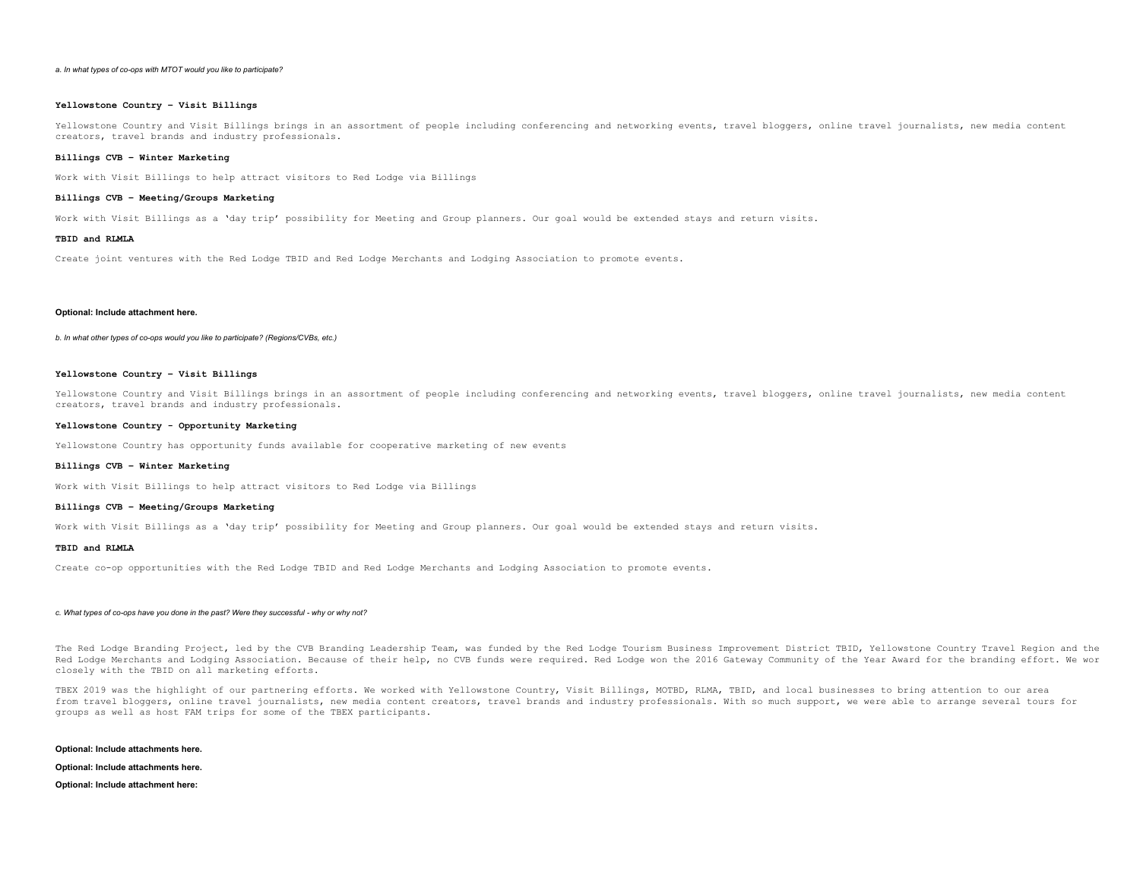#### *a. In what types of co-ops with MTOT would you like to participate?*

# **Yellowstone Country – Visit Billings**

Yellowstone Country and Visit Billings brings in an assortment of people including conferencing and networking events, travel bloggers, online travel journalists, new media content creators, travel brands and industry professionals.

#### **Billings CVB – Winter Marketing**

Work with Visit Billings to help attract visitors to Red Lodge via Billings

#### **Billings CVB – Meeting/Groups Marketing**

Work with Visit Billings as a 'day trip' possibility for Meeting and Group planners. Our goal would be extended stays and return visits.

# **TBID and RLMLA**

Create joint ventures with the Red Lodge TBID and Red Lodge Merchants and Lodging Association to promote events.

# **Optional: Include attachment here.**

*b. In what other types of co-ops would you like to participate? (Regions/CVBs, etc.)*

#### **Yellowstone Country – Visit Billings**

Yellowstone Country and Visit Billings brings in an assortment of people including conferencing and networking events, travel bloggers, online travel journalists, new media content creators, travel brands and industry professionals.

# **Yellowstone Country - Opportunity Marketing**

Yellowstone Country has opportunity funds available for cooperative marketing of new events

### **Billings CVB – Winter Marketing**

Work with Visit Billings to help attract visitors to Red Lodge via Billings

# **Billings CVB – Meeting/Groups Marketing**

Work with Visit Billings as a 'day trip' possibility for Meeting and Group planners. Our goal would be extended stays and return visits.

#### **TBID and RLMLA**

Create co-op opportunities with the Red Lodge TBID and Red Lodge Merchants and Lodging Association to promote events.

#### *c. What types of co-ops have you done in the past? Were they successful - why or why not?*

The Red Lodge Branding Project, led by the CVB Branding Leadership Team, was funded by the Red Lodge Tourism Business Improvement District TBID, Yellowstone Country Travel Region and the Red Lodge Merchants and Lodging Association. Because of their help, no CVB funds were required. Red Lodge won the 2016 Gateway Community of the Year Award for the branding effort. We wor closely with the TBID on all marketing efforts.

TBEX 2019 was the highlight of our partnering efforts. We worked with Yellowstone Country, Visit Billings, MOTBD, RLMA, TBID, and local businesses to bring attention to our area from travel bloggers, online travel journalists, new media content creators, travel brands and industry professionals. With so much support, we were able to arrange several tours for groups as well as host FAM trips for some of the TBEX participants.

**Optional: Include attachments here.**

**Optional: Include attachments here.**

**Optional: Include attachment here:**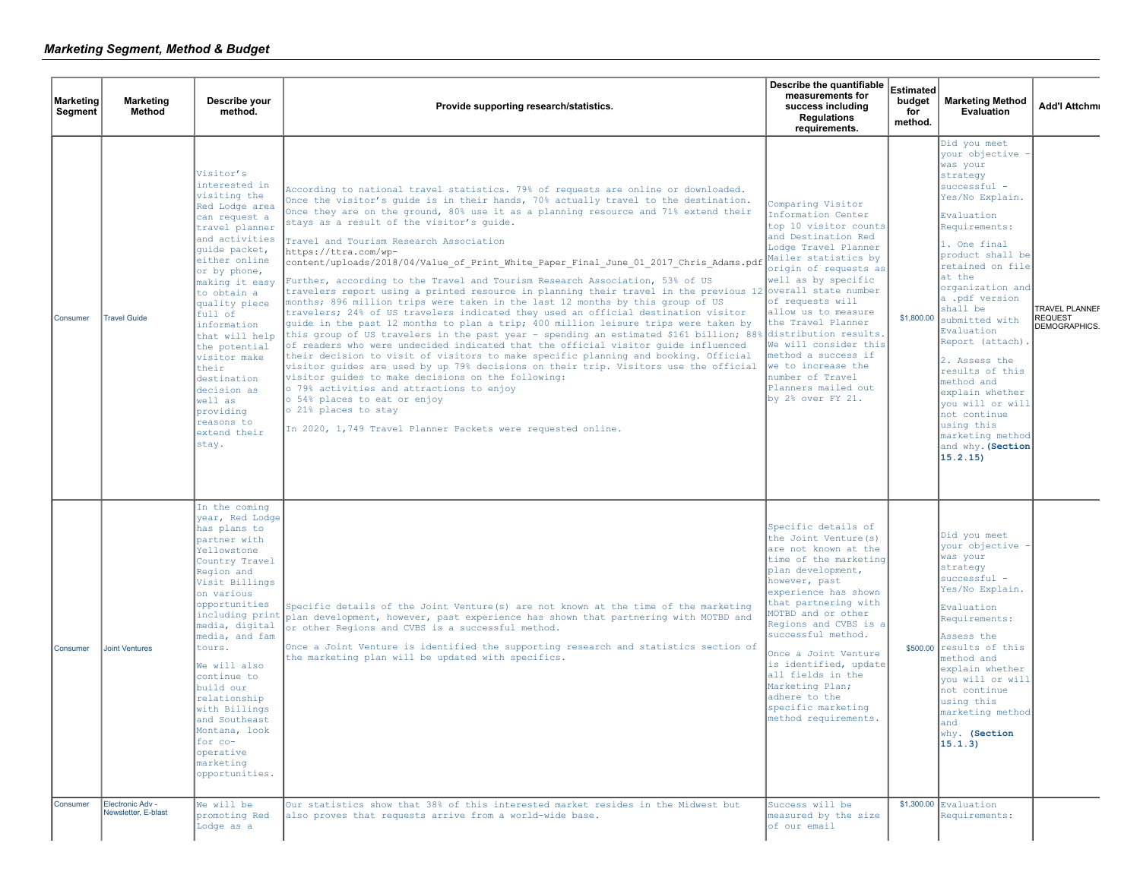| <b>Marketing</b><br>Segment | <b>Marketing</b><br><b>Method</b>       | Describe your<br>method.                                                                                                                                                                                                                                                                                                                                                                                 | Provide supporting research/statistics.                                                                                                                                                                                                                                                                                                                                                                                                                                                                                                                                                                                                                                                                                                                                                                                                                                                                                                                                                                                                                                                                                                                                                                                                                                                                                                                                                                                                                                                                                          | Describe the quantifiable<br>measurements for<br>success including<br><b>Regulations</b><br>requirements.                                                                                                                                                                                                                                                                                                                      | <b>Estimated</b><br>budget<br>for<br>method. | <b>Marketing Method</b><br>Evaluation                                                                                                                                                                                                                                                                                                                                                                                                                                        | <b>Add'l Attchmi</b>                                     |
|-----------------------------|-----------------------------------------|----------------------------------------------------------------------------------------------------------------------------------------------------------------------------------------------------------------------------------------------------------------------------------------------------------------------------------------------------------------------------------------------------------|----------------------------------------------------------------------------------------------------------------------------------------------------------------------------------------------------------------------------------------------------------------------------------------------------------------------------------------------------------------------------------------------------------------------------------------------------------------------------------------------------------------------------------------------------------------------------------------------------------------------------------------------------------------------------------------------------------------------------------------------------------------------------------------------------------------------------------------------------------------------------------------------------------------------------------------------------------------------------------------------------------------------------------------------------------------------------------------------------------------------------------------------------------------------------------------------------------------------------------------------------------------------------------------------------------------------------------------------------------------------------------------------------------------------------------------------------------------------------------------------------------------------------------|--------------------------------------------------------------------------------------------------------------------------------------------------------------------------------------------------------------------------------------------------------------------------------------------------------------------------------------------------------------------------------------------------------------------------------|----------------------------------------------|------------------------------------------------------------------------------------------------------------------------------------------------------------------------------------------------------------------------------------------------------------------------------------------------------------------------------------------------------------------------------------------------------------------------------------------------------------------------------|----------------------------------------------------------|
| Consumer                    | <b>Travel Guide</b>                     | Visitor's<br>interested in<br>visiting the<br>Red Lodge area<br>can request a<br>travel planner<br>and activities<br>quide packet,<br>either online<br>or by phone,<br>making it easy<br>to obtain a<br>quality piece<br>full of<br>information<br>that will help<br>the potential<br>visitor make<br>their<br>destination<br>decision as<br>well as<br>providing<br>reasons to<br>extend their<br>stay. | According to national travel statistics. 79% of requests are online or downloaded.<br>Once the visitor's quide is in their hands, 70% actually travel to the destination.<br>Once they are on the ground, 80% use it as a planning resource and 71% extend their<br>stays as a result of the visitor's quide.<br>Travel and Tourism Research Association<br>https://ttra.com/wp-<br>content/uploads/2018/04/Value of Print White Paper Final June 01 2017 Chris Adams.pdf<br>Further, according to the Travel and Tourism Research Association, 53% of US<br>travelers report using a printed resource in planning their travel in the previous 12 overall state number<br>months; 896 million trips were taken in the last 12 months by this group of US<br>travelers; 24% of US travelers indicated they used an official destination visitor<br>guide in the past 12 months to plan a trip; 400 million leisure trips were taken by<br>this group of US travelers in the past year - spending an estimated \$161 billion; 88%<br>of readers who were undecided indicated that the official visitor quide influenced<br>their decision to visit of visitors to make specific planning and booking. Official<br>visitor quides are used by up 79% decisions on their trip. Visitors use the official<br>visitor quides to make decisions on the following:<br>o 79% activities and attractions to enjoy<br>o 54% places to eat or enjoy<br>o 21% places to stay<br>In 2020, 1,749 Travel Planner Packets were requested online. | Comparing Visitor<br>Information Center<br>top 10 visitor counts<br>and Destination Red<br>Lodge Travel Planner<br>Mailer statistics by<br>origin of requests as<br>well as by specific<br>of requests will<br>allow us to measure<br>the Travel Planner<br>distribution results.<br>We will consider this<br>method a success if<br>we to increase the<br>number of Travel<br>Planners mailed out<br>by $2\%$ over $FY$ $21.$ | \$1,800.00                                   | Did you meet<br>your objective<br>was your<br>strategy<br>successful -<br>Yes/No Explain.<br>Evaluation<br>Requirements:<br>1. One final<br>product shall be<br>retained on file<br>at the<br>organization and<br>a .pdf version<br>shall be<br>submitted with<br>Evaluation<br>Report (attach).<br>2. Assess the<br>results of this<br>method and<br>explain whether<br>you will or will<br>not continue<br>using this<br>marketing method<br>and why. (Section<br>15.2.15) | <b>TRAVEL PLANNEF</b><br><b>REQUEST</b><br>DEMOGRAPHICS. |
| Consumer                    | <b>Joint Ventures</b>                   | In the coming<br>year, Red Lodge<br>has plans to<br>partner with<br>Yellowstone<br>Country Travel<br>Region and<br>Visit Billings<br>on various<br>opportunities<br>including print<br>media, digital<br>media, and fam<br>tours.<br>We will also<br>continue to<br>build our<br>relationship<br>with Billings<br>and Southeast<br>Montana, look<br>for co-<br>operative<br>marketing<br>opportunities.  | Specific details of the Joint Venture(s) are not known at the time of the marketing<br>plan development, however, past experience has shown that partnering with MOTBD and<br>or other Regions and CVBS is a successful method.<br>Once a Joint Venture is identified the supporting research and statistics section of<br>the marketing plan will be updated with specifics.                                                                                                                                                                                                                                                                                                                                                                                                                                                                                                                                                                                                                                                                                                                                                                                                                                                                                                                                                                                                                                                                                                                                                    | Specific details of<br>the Joint Venture (s)<br>are not known at the<br>time of the marketing<br>plan development,<br>however, past<br>experience has shown<br>that partnering with<br>MOTBD and or other<br>Regions and CVBS is a<br>successful method.<br>Once a Joint Venture<br>is identified, update<br>all fields in the<br>Marketing Plan;<br>adhere to the<br>specific marketing<br>nethod requirements.               |                                              | Did you meet<br>your objective -<br>was your<br>strategy<br>successful -<br>Yes/No Explain.<br>Evaluation<br>Requirements:<br>Assess the<br>\$500.00 results of this<br>method and<br>explain whether<br>vou will or will<br>not continue<br>using this<br>marketing method<br>and<br>why. (Section<br>15.1.3)                                                                                                                                                               |                                                          |
| Consumer                    | Electronic Adv -<br>Newsletter, E-blast | We will be<br>promoting Red<br>Lodge as a                                                                                                                                                                                                                                                                                                                                                                | Our statistics show that 38% of this interested market resides in the Midwest but<br>also proves that requests arrive from a world-wide base.                                                                                                                                                                                                                                                                                                                                                                                                                                                                                                                                                                                                                                                                                                                                                                                                                                                                                                                                                                                                                                                                                                                                                                                                                                                                                                                                                                                    | Success will be<br>measured by the size<br>of our email                                                                                                                                                                                                                                                                                                                                                                        |                                              | $$1,300.00$ Evaluation<br>Requirements:                                                                                                                                                                                                                                                                                                                                                                                                                                      |                                                          |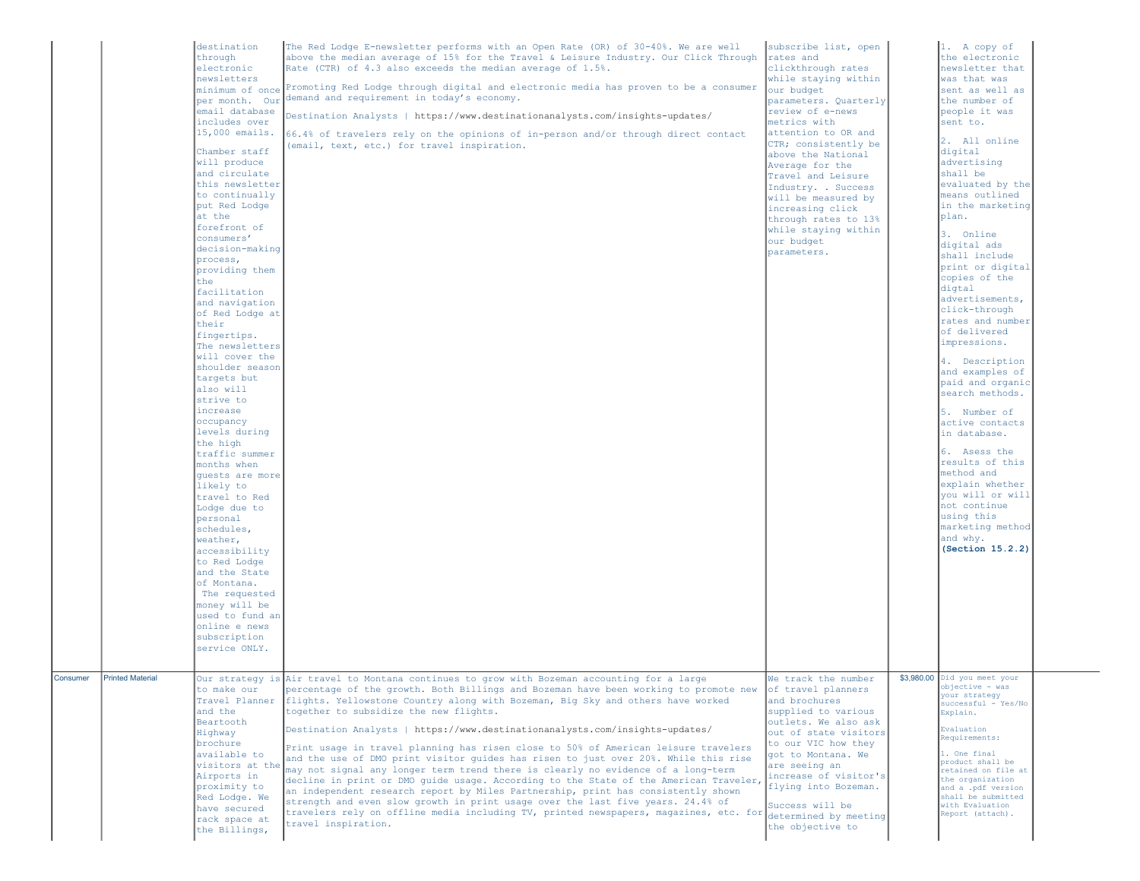|          |                         | destination<br>through<br>electronic<br>newsletters<br>per month. Our<br>email database<br>includes over<br>$15,000$ emails.<br>Chamber staff<br>will produce<br>and circulate<br>this newsletter<br>to continually<br>put Red Lodge<br>at the<br>forefront of<br>consumers'<br>decision-making<br>process,<br>providing them<br>the<br>facilitation<br>and navigation<br>of Red Lodge at<br>their<br>fingertips.<br>The newsletters<br>will cover the<br>shoulder season<br>targets but<br>also will<br>strive to<br>increase<br>occupancy<br>levels during<br>the high<br>traffic summer<br>months when<br>quests are more<br>likely to<br>travel to Red<br>Lodge due to<br>personal<br>schedules,<br>weather,<br>accessibility<br>to Red Lodge<br>and the State<br>of Montana.<br>The requested<br>money will be<br>used to fund an<br>online e news<br>subscription<br>service ONLY. | The Red Lodge E-newsletter performs with an Open Rate (OR) of 30-40%. We are well<br>above the median average of 15% for the Travel & Leisure Industry. Our Click Through rates and<br>Rate (CTR) of 4.3 also exceeds the median average of 1.5%.<br>minimum of once Promoting Red Lodge through digital and electronic media has proven to be a consumer<br>demand and requirement in today's economy.<br>Destination Analysts   https://www.destinationanalysts.com/insights-updates/<br>66.4% of travelers rely on the opinions of in-person and/or through direct contact<br>(email, text, etc.) for travel inspiration.                                                                                                                                                                                                                                                                                                                                                                                                                                       | subscribe list, open<br>clickthrough rates<br>while staying within<br>our budget<br>parameters. Quarterly<br>review of e-news<br>metrics with<br>attention to OR and<br>CTR; consistently be<br>above the National<br>Average for the<br>Travel and Leisure<br>Industry. . Success<br>will be measured by<br>increasing click<br>through rates to 13%<br>while staying within<br>our budget<br>parameters. | 1. A copy of<br>the electronic<br>newsletter that<br>was that was<br>sent as well as<br>the number of<br>people it was<br>sent to.<br>2. All online<br>digital<br>advertising<br>shall be<br>evaluated by the<br>means outlined<br>in the marketing<br>plan.<br>3. Online<br>digital ads<br>shall include<br>print or digital<br>copies of the<br>digtal<br>advertisements,<br>click-through<br>rates and number<br>of delivered<br>impressions.<br>4. Description<br>and examples of<br>paid and organic<br>search methods.<br>5. Number of<br>active contacts<br>in database.<br>6. Asess the<br>results of this<br>method and<br>explain whether<br>you will or will<br>not continue<br>using this<br>marketing method<br>and why.<br>(Section 15.2.2) |  |
|----------|-------------------------|------------------------------------------------------------------------------------------------------------------------------------------------------------------------------------------------------------------------------------------------------------------------------------------------------------------------------------------------------------------------------------------------------------------------------------------------------------------------------------------------------------------------------------------------------------------------------------------------------------------------------------------------------------------------------------------------------------------------------------------------------------------------------------------------------------------------------------------------------------------------------------------|--------------------------------------------------------------------------------------------------------------------------------------------------------------------------------------------------------------------------------------------------------------------------------------------------------------------------------------------------------------------------------------------------------------------------------------------------------------------------------------------------------------------------------------------------------------------------------------------------------------------------------------------------------------------------------------------------------------------------------------------------------------------------------------------------------------------------------------------------------------------------------------------------------------------------------------------------------------------------------------------------------------------------------------------------------------------|------------------------------------------------------------------------------------------------------------------------------------------------------------------------------------------------------------------------------------------------------------------------------------------------------------------------------------------------------------------------------------------------------------|-----------------------------------------------------------------------------------------------------------------------------------------------------------------------------------------------------------------------------------------------------------------------------------------------------------------------------------------------------------------------------------------------------------------------------------------------------------------------------------------------------------------------------------------------------------------------------------------------------------------------------------------------------------------------------------------------------------------------------------------------------------|--|
| Consumer | <b>Printed Material</b> | to make our<br>and the<br>Beartooth<br>Highway<br>brochure<br>available to<br>visitors at the<br>Airports in<br>proximity to<br>Red Lodge. We<br>have secured<br>rack space at<br>the Billings,                                                                                                                                                                                                                                                                                                                                                                                                                                                                                                                                                                                                                                                                                          | Our strategy is Air travel to Montana continues to grow with Bozeman accounting for a large<br>percentage of the growth. Both Billings and Bozeman have been working to promote new<br>Travel Planner flights. Yellowstone Country along with Bozeman, Big Sky and others have worked<br>together to subsidize the new flights.<br>Destination Analysts   https://www.destinationanalysts.com/insights-updates/<br>Print usage in travel planning has risen close to 50% of American leisure travelers<br>and the use of DMO print visitor quides has risen to just over 20%. While this rise<br>may not signal any longer term trend there is clearly no evidence of a long-term<br>decline in print or DMO quide usage. According to the State of the American Traveler,<br>an independent research report by Miles Partnership, print has consistently shown<br>strength and even slow growth in print usage over the last five years. 24.4% of<br>travelers rely on offline media including TV, printed newspapers, magazines, etc. for<br>travel inspiration. | We track the number<br>of travel planners<br>and brochures<br>supplied to various<br>outlets. We also ask<br>out of state visitors<br>to our VIC how they<br>got to Montana. We<br>are seeing an<br>increase of visitor's<br>flying into Bozeman.<br>Success will be<br>determined by meeting<br>the objective to                                                                                          | \$3,980.00 Did you meet your<br>objective - was<br>your strategy<br>successful - Yes/No<br>Explain.<br>Evaluation<br>Requirements:<br>1. One final<br>product shall be<br>retained on file at<br>the organization<br>and a .pdf version<br>shall be submitted<br>with Evaluation<br>Report (attach).                                                                                                                                                                                                                                                                                                                                                                                                                                                      |  |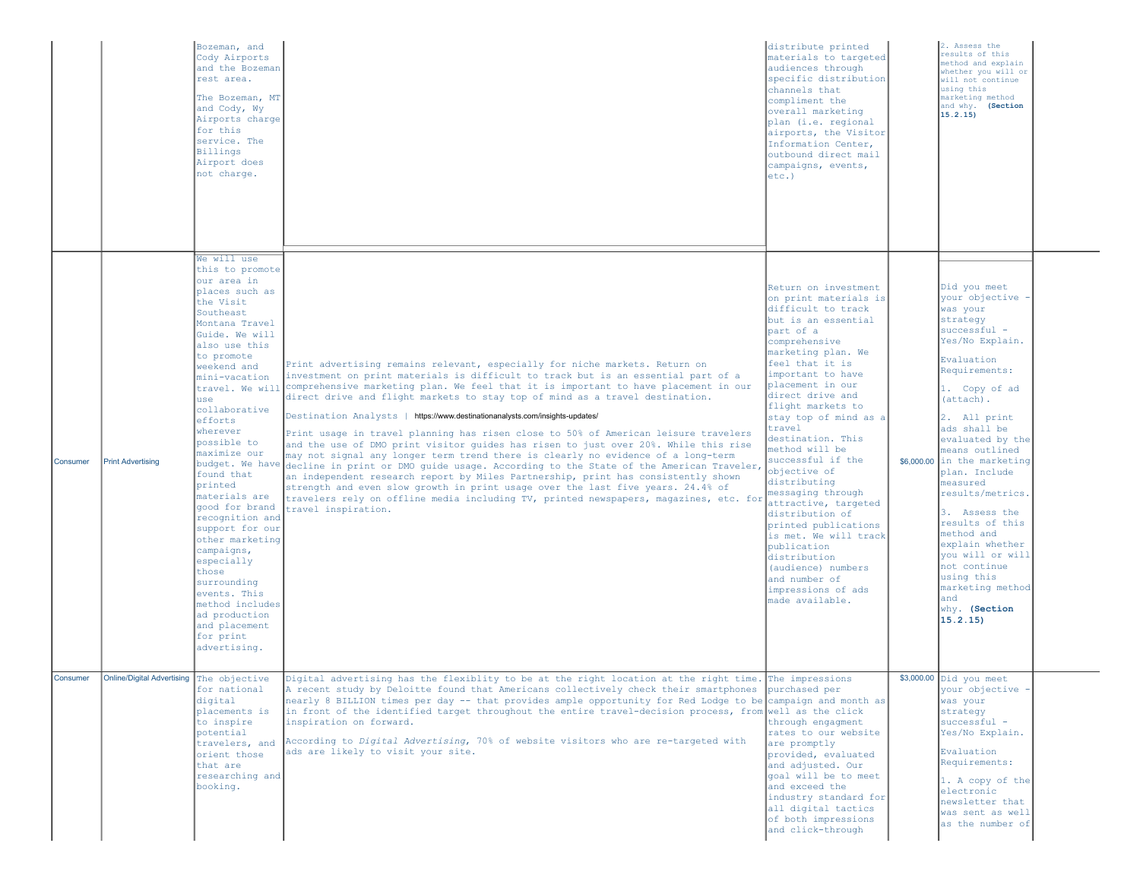|          |                                          | Bozeman, and<br>Cody Airports<br>and the Bozeman<br>rest area.<br>The Bozeman, MT<br>and Cody, Wy<br>Airports charge<br>for this<br>service. The<br><b>Billings</b><br>Airport does<br>not charge.                                                                                                                                                                                                                                                                                                                                                                       |                                                                                                                                                                                                                                                                                                                                                                                                                                                                                                                                                                                                                                                                                                                                                                                                                                                                                                                                                                                                                                                                                            | distribute printed<br>materials to targeted<br>audiences through<br>specific distribution<br>channels that<br>compliment the<br>overall marketing<br>plan (i.e. regional<br>airports, the Visitor<br>Information Center,<br>outbound direct mail<br>campaigns, events,<br>$etc.$ )                                                                                                                                                                                                                                                                                                                                 | 2. Assess the<br>results of this<br>nethod and explain<br>whether you will or<br>will not continue<br>using this<br>marketing method<br>and why. (Section<br>15.2.15)                                                                                                                                                                                                                                                                                                                          |  |
|----------|------------------------------------------|--------------------------------------------------------------------------------------------------------------------------------------------------------------------------------------------------------------------------------------------------------------------------------------------------------------------------------------------------------------------------------------------------------------------------------------------------------------------------------------------------------------------------------------------------------------------------|--------------------------------------------------------------------------------------------------------------------------------------------------------------------------------------------------------------------------------------------------------------------------------------------------------------------------------------------------------------------------------------------------------------------------------------------------------------------------------------------------------------------------------------------------------------------------------------------------------------------------------------------------------------------------------------------------------------------------------------------------------------------------------------------------------------------------------------------------------------------------------------------------------------------------------------------------------------------------------------------------------------------------------------------------------------------------------------------|--------------------------------------------------------------------------------------------------------------------------------------------------------------------------------------------------------------------------------------------------------------------------------------------------------------------------------------------------------------------------------------------------------------------------------------------------------------------------------------------------------------------------------------------------------------------------------------------------------------------|------------------------------------------------------------------------------------------------------------------------------------------------------------------------------------------------------------------------------------------------------------------------------------------------------------------------------------------------------------------------------------------------------------------------------------------------------------------------------------------------|--|
| Consumer | <b>Print Advertising</b>                 | We will use<br>this to promote<br>our area in<br>places such as<br>the Visit<br>Southeast<br>Montana Travel<br>Guide. We will<br>also use this<br>to promote<br>weekend and<br>mini-vacation<br>use<br>collaborative<br>efforts<br>wherever<br>possible to<br>maximize our<br>budget. We have<br>found that<br>printed<br>materials are<br>good for brand<br>recognition and<br>support for our<br>other marketing<br>campaigns,<br>especially<br>those<br>surrounding<br>events. This<br>method includes<br>ad production<br>and placement<br>for print<br>advertising. | Print advertising remains relevant, especially for niche markets. Return on<br>investment on print materials is difficult to track but is an essential part of a<br>travel. We will comprehensive marketing plan. We feel that it is important to have placement in our<br>direct drive and flight markets to stay top of mind as a travel destination.<br>Destination Analysts   https://www.destinationanalysts.com/insights-updates/<br>Print usage in travel planning has risen close to 50% of American leisure travelers<br>and the use of DMO print visitor guides has risen to just over 20%. While this rise<br>may not signal any longer term trend there is clearly no evidence of a long-term<br>decline in print or DMO guide usage. According to the State of the American Traveler,<br>an independent research report by Miles Partnership, print has consistently shown<br>strength and even slow growth in print usage over the last five years. 24.4% of<br>travelers rely on offline media including TV, printed newspapers, magazines, etc. for<br>travel inspiration. | Return on investment<br>on print materials is<br>difficult to track<br>but is an essential<br>part of a<br>comprehensive<br>marketing plan. We<br>feel that it is<br>important to have<br>placement in our<br>direct drive and<br>flight markets to<br>stay top of mind as a<br>travel<br>destination. This<br>method will be<br>successful if the<br>objective of<br>distributing<br>messaging through<br>attractive, targeted<br>distribution of<br>printed publications<br>is met. We will track<br>publication<br>distribution<br>(audience) numbers<br>and number of<br>impressions of ads<br>made available. | Did you meet<br>your objective -<br>was your<br>strategy<br>$successful -$<br>Yes/No Explain.<br>Evaluation<br>Requirements:<br>1. Copy of ad<br>(attach).<br>2. All print<br>ads shall be<br>evaluated by the<br>means outlined<br>\$6,000,00 in the marketing<br>plan. Include<br>measured<br>results/metrics.<br>3. Assess the<br>results of this<br>method and<br>explain whether<br>you will or will<br>not continue<br>using this<br>marketing method<br>and<br>why. (Section<br>15.2.15 |  |
| Consumer | Online/Digital Advertising The objective | for national<br>digital<br>placements is<br>to inspire<br>potential<br>travelers, and<br>orient those<br>that are<br>researching and<br>booking.                                                                                                                                                                                                                                                                                                                                                                                                                         | Digital advertising has the flexiblity to be at the right location at the right time. The impressions<br>A recent study by Deloitte found that Americans collectively check their smartphones<br>nearly 8 BILLION times per day -- that provides ample opportunity for Red Lodge to be campaign and month as<br>in front of the identified target throughout the entire travel-decision process, from well as the click<br>inspiration on forward.<br>According to Digital Advertising, 70% of website visitors who are re-targeted with<br>ads are likely to visit your site.                                                                                                                                                                                                                                                                                                                                                                                                                                                                                                             | purchased per<br>through engagment<br>rates to our website<br>are promptly<br>provided, evaluated<br>and adjusted. Our<br>goal will be to meet<br>and exceed the<br>industry standard for<br>all digital tactics<br>of both impressions<br>and click-through                                                                                                                                                                                                                                                                                                                                                       | $$3,000.00$ Did you meet<br>your objective -<br>was your<br>strategy<br>$successful -$<br>Yes/No Explain.<br>Evaluation<br>Requirements:<br>1. A copy of the<br>electronic<br>newsletter that<br>was sent as well<br>as the number of                                                                                                                                                                                                                                                          |  |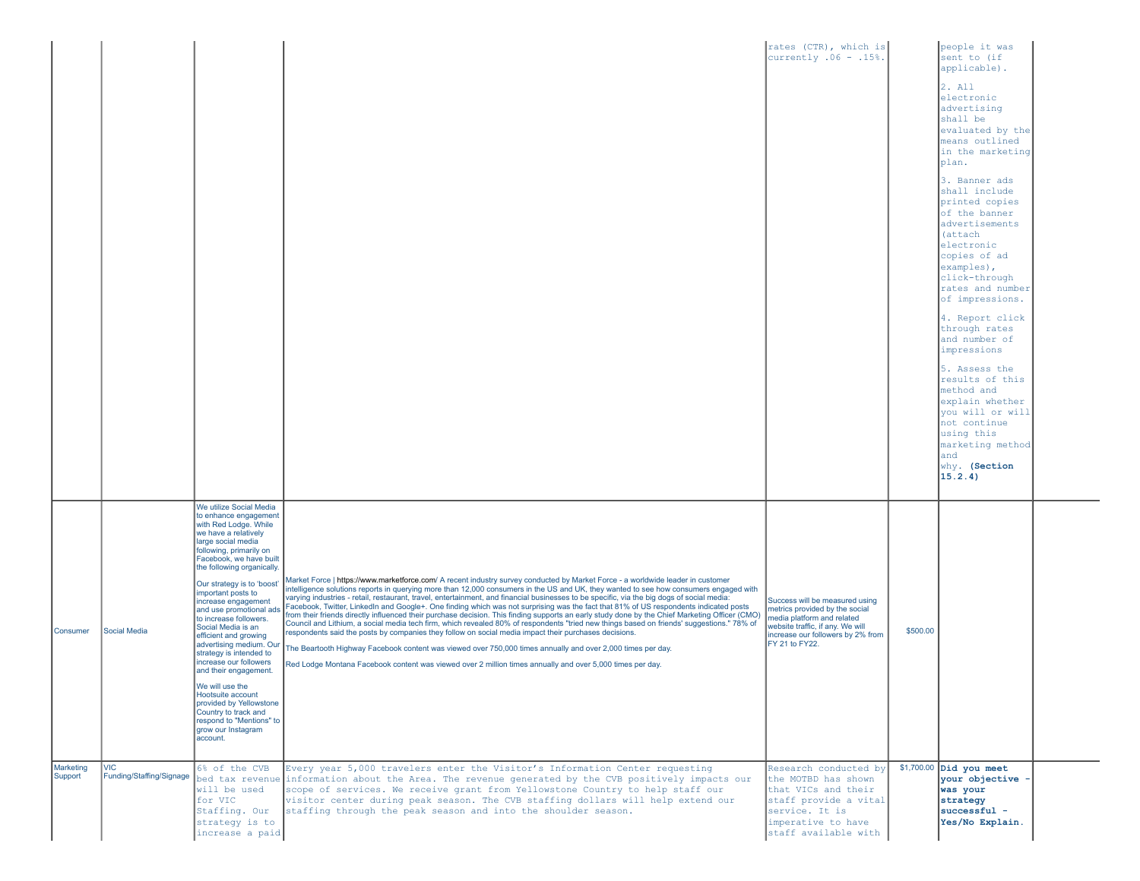|                                  |                                                        |                                                                                                                                                                                                                                                                                                                                                                                                                                                                                                                                                                                                                                                                               |                                                                                                                                                                                                                                                                                                                                                                                                                                                                                                                                                                                                                                                                                                                                                                                                                                                                                                                                                                                                                                                                                                                                                                                                                                                                                                                                                                                            | rates (CTR), which is<br>currently $.06 - .15$ %.                                                                                                                                                                                         |          | people it was<br>sent to (if<br>applicable).<br>2. All<br>electronic<br>advertising<br>shall be<br>evaluated by the<br>means outlined<br>in the marketing<br>plan.<br>3. Banner ads<br>shall include<br>printed copies<br>of the banner<br>advertisements<br>(attach<br>electronic<br>copies of ad<br>examples),<br>click-through<br>rates and number<br>of impressions.<br>4. Report click<br>through rates<br>and number of<br>impressions<br>5. Assess the<br>results of this<br>method and<br>explain whether<br>you will or will<br>not continue<br>using this |  |
|----------------------------------|--------------------------------------------------------|-------------------------------------------------------------------------------------------------------------------------------------------------------------------------------------------------------------------------------------------------------------------------------------------------------------------------------------------------------------------------------------------------------------------------------------------------------------------------------------------------------------------------------------------------------------------------------------------------------------------------------------------------------------------------------|--------------------------------------------------------------------------------------------------------------------------------------------------------------------------------------------------------------------------------------------------------------------------------------------------------------------------------------------------------------------------------------------------------------------------------------------------------------------------------------------------------------------------------------------------------------------------------------------------------------------------------------------------------------------------------------------------------------------------------------------------------------------------------------------------------------------------------------------------------------------------------------------------------------------------------------------------------------------------------------------------------------------------------------------------------------------------------------------------------------------------------------------------------------------------------------------------------------------------------------------------------------------------------------------------------------------------------------------------------------------------------------------|-------------------------------------------------------------------------------------------------------------------------------------------------------------------------------------------------------------------------------------------|----------|---------------------------------------------------------------------------------------------------------------------------------------------------------------------------------------------------------------------------------------------------------------------------------------------------------------------------------------------------------------------------------------------------------------------------------------------------------------------------------------------------------------------------------------------------------------------|--|
| Consumer<br>Marketing<br>Support | Social Media<br><b>VIC</b><br>Funding/Staffing/Signage | We utilize Social Media<br>to enhance engagement<br>with Red Lodge. While<br>we have a relatively<br>large social media<br>following, primarily on<br>Facebook, we have built<br>the following organically.<br>Our strategy is to 'boost'<br>important posts to<br>increase engagement<br>and use promotional ads<br>to increase followers.<br>Social Media is an<br>efficient and growing<br>advertising medium. Our<br>strategy is intended to<br>increase our followers<br>and their engagement.<br>We will use the<br>Hootsuite account<br>provided by Yellowstone<br>Country to track and<br>respond to "Mentions" to<br>grow our Instagram<br>account.<br>6% of the CVB | Market Force   https://www.marketforce.com/ A recent industry survey conducted by Market Force - a worldwide leader in customer<br>intelligence solutions reports in querying more than 12,000 consumers in the US and UK, they wanted to see how consumers engaged with<br>varying industries - retail, restaurant, travel, entertainment, and financial businesses to be specific, via the big dogs of social media:<br>Facebook, Twitter, LinkedIn and Google+. One finding which was not surprising was the fact that 81% of US respondents indicated posts<br>from their friends directly influenced their purchase decision. This finding supports an early study done by the Chief Marketing Officer (CMO)<br>Council and Lithium, a social media tech firm, which revealed 80% of respondents "tried new things based on friends' suggestions." 78% of<br>respondents said the posts by companies they follow on social media impact their purchases decisions.<br>The Beartooth Highway Facebook content was viewed over 750,000 times annually and over 2,000 times per day.<br>Red Lodge Montana Facebook content was viewed over 2 million times annually and over 5,000 times per day.<br>Every year 5,000 travelers enter the Visitor's Information Center requesting<br>bed tax revenue information about the Area. The revenue generated by the CVB positively impacts our | Success will be measured using<br>metrics provided by the social<br>media platform and related<br>website traffic, if any. We will<br>increase our followers by 2% from<br>FY 21 to FY22.<br>Research conducted by<br>the MOTBD has shown | \$500.00 | marketing method<br>and<br>why. (Section<br>15.2.4)<br>$$1,700.00$ Did you meet<br>your objective -                                                                                                                                                                                                                                                                                                                                                                                                                                                                 |  |
|                                  |                                                        | will be used<br>for VIC<br>Staffing. Our<br>strategy is to<br>increase a paid                                                                                                                                                                                                                                                                                                                                                                                                                                                                                                                                                                                                 | scope of services. We receive grant from Yellowstone Country to help staff our<br>visitor center during peak season. The CVB staffing dollars will help extend our<br>staffing through the peak season and into the shoulder season.                                                                                                                                                                                                                                                                                                                                                                                                                                                                                                                                                                                                                                                                                                                                                                                                                                                                                                                                                                                                                                                                                                                                                       | that VICs and their<br>staff provide a vital<br>service. It is<br>imperative to have<br>staff available with                                                                                                                              |          | was your<br>strategy<br>successful -<br>Yes/No Explain.                                                                                                                                                                                                                                                                                                                                                                                                                                                                                                             |  |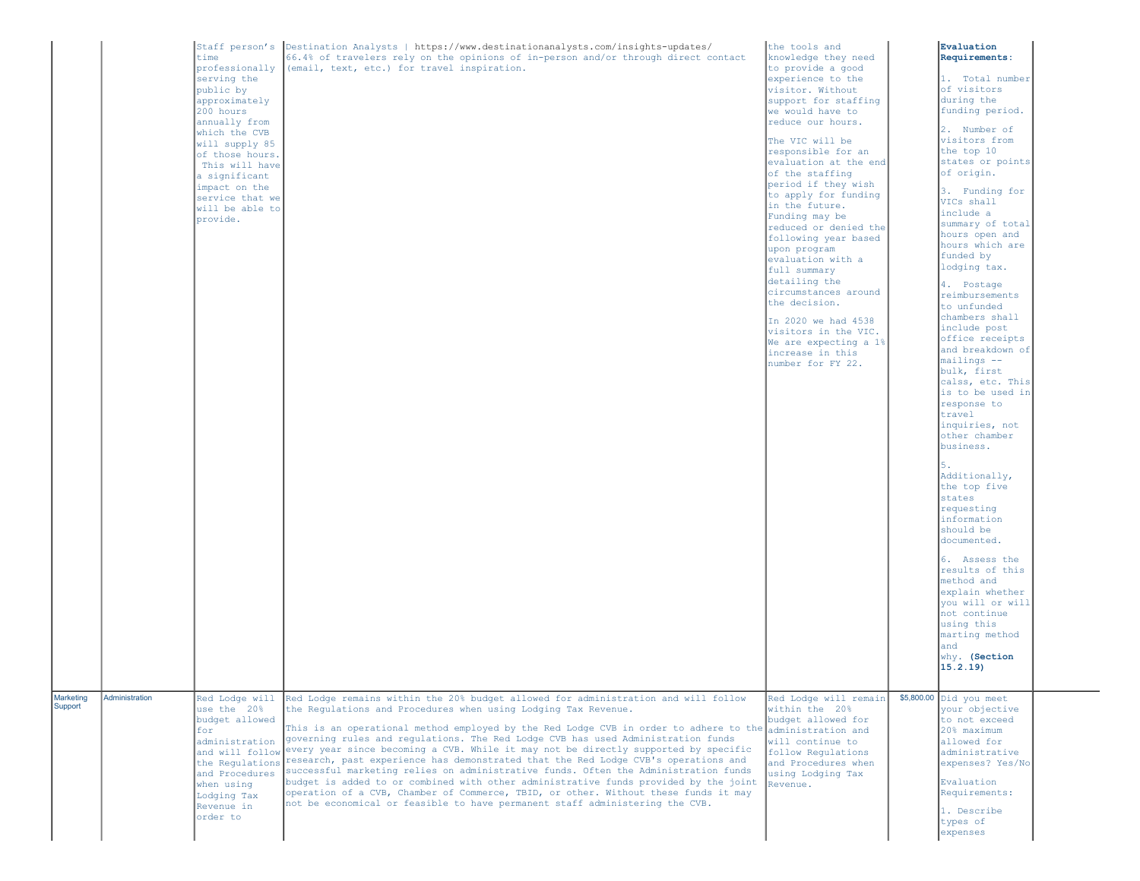|                      |                | time<br>serving the<br>public by<br>approximately<br>200 hours<br>annually from<br>which the CVB<br>will supply 85<br>of those hours.<br>This will have<br>a significant<br>impact on the<br>service that we<br>will be able to<br>provide. | Staff person's  Destination Analysts   https://www.destinationanalysts.com/insights-updates/<br>66.4% of travelers rely on the opinions of in-person and/or through direct contact<br>professionally (email, text, etc.) for travel inspiration.                                                                                                                                                                                                                                                                                                                                                                                                                                                                                                                                                                                                                     | the tools and<br>knowledge they need<br>to provide a good<br>experience to the<br>visitor. Without<br>support for staffing<br>we would have to<br>reduce our hours.<br>The VIC will be<br>responsible for an<br>evaluation at the end<br>of the staffing<br>period if they wish<br>to apply for funding<br>in the future.<br>Funding may be<br>reduced or denied the<br>following year based<br>upon program<br>evaluation with a<br>full summary<br>detailing the<br>circumstances around<br>the decision.<br>In 2020 we had 4538<br>visitors in the VIC.<br>We are expecting a 1%<br>increase in this<br>number for FY 22. | Evaluation<br>Requirements:<br>1. Total number<br>of visitors<br>during the<br>funding period.<br>2. Number of<br>visitors from<br>the top 10<br>states or points<br>of origin.<br>3. Funding for<br>VICs shall<br>include a<br>summary of total<br>hours open and<br>hours which are<br>funded by<br>lodging tax.<br>4. Postage<br>reimbursements<br>to unfunded<br>chambers shall<br>include post<br>office receipts<br>and breakdown of<br>mailings --<br>bulk, first<br>calss, etc. This<br>is to be used in<br>response to<br>travel<br>inquiries, not<br>other chamber<br>business.<br>5.<br>Additionally,<br>the top five<br>states<br>requesting<br>information<br>should be<br>documented.<br>6. Assess the<br>results of this<br>method and<br>explain whether<br>you will or will<br>not continue<br>using this |  |
|----------------------|----------------|---------------------------------------------------------------------------------------------------------------------------------------------------------------------------------------------------------------------------------------------|----------------------------------------------------------------------------------------------------------------------------------------------------------------------------------------------------------------------------------------------------------------------------------------------------------------------------------------------------------------------------------------------------------------------------------------------------------------------------------------------------------------------------------------------------------------------------------------------------------------------------------------------------------------------------------------------------------------------------------------------------------------------------------------------------------------------------------------------------------------------|------------------------------------------------------------------------------------------------------------------------------------------------------------------------------------------------------------------------------------------------------------------------------------------------------------------------------------------------------------------------------------------------------------------------------------------------------------------------------------------------------------------------------------------------------------------------------------------------------------------------------|----------------------------------------------------------------------------------------------------------------------------------------------------------------------------------------------------------------------------------------------------------------------------------------------------------------------------------------------------------------------------------------------------------------------------------------------------------------------------------------------------------------------------------------------------------------------------------------------------------------------------------------------------------------------------------------------------------------------------------------------------------------------------------------------------------------------------|--|
|                      |                |                                                                                                                                                                                                                                             |                                                                                                                                                                                                                                                                                                                                                                                                                                                                                                                                                                                                                                                                                                                                                                                                                                                                      |                                                                                                                                                                                                                                                                                                                                                                                                                                                                                                                                                                                                                              | marting method<br>and<br>why. (Section<br>15.2.19                                                                                                                                                                                                                                                                                                                                                                                                                                                                                                                                                                                                                                                                                                                                                                          |  |
| Marketing<br>Support | Administration | Red Lodge will<br>use the 20%<br>budget allowed<br>for<br>administration<br>and will follow<br>the Regulations<br>and Procedures<br>when using<br>Lodging Tax<br>Revenue in<br>order to                                                     | Red Lodge remains within the 20% budget allowed for administration and will follow<br>the Requlations and Procedures when using Lodging Tax Revenue.<br>This is an operational method employed by the Red Lodge CVB in order to adhere to the<br>governing rules and regulations. The Red Lodge CVB has used Administration funds<br>every year since becoming a CVB. While it may not be directly supported by specific<br>research, past experience has demonstrated that the Red Lodge CVB's operations and<br>successful marketing relies on administrative funds. Often the Administration funds<br>budget is added to or combined with other administrative funds provided by the joint<br>operation of a CVB, Chamber of Commerce, TBID, or other. Without these funds it may<br>not be economical or feasible to have permanent staff administering the CVB. | Red Lodge will remain<br>within the 20%<br>budget allowed for<br>administration and<br>will continue to<br>follow Regulations<br>and Procedures when<br>using Lodging Tax<br>Revenue.                                                                                                                                                                                                                                                                                                                                                                                                                                        | \$5,800.00 Did you meet<br>your objective<br>to not exceed<br>20% maximum<br>allowed for<br>administrative<br>expenses? Yes/No<br>Evaluation<br>Requirements:<br>1. Describe<br>types of<br>expenses                                                                                                                                                                                                                                                                                                                                                                                                                                                                                                                                                                                                                       |  |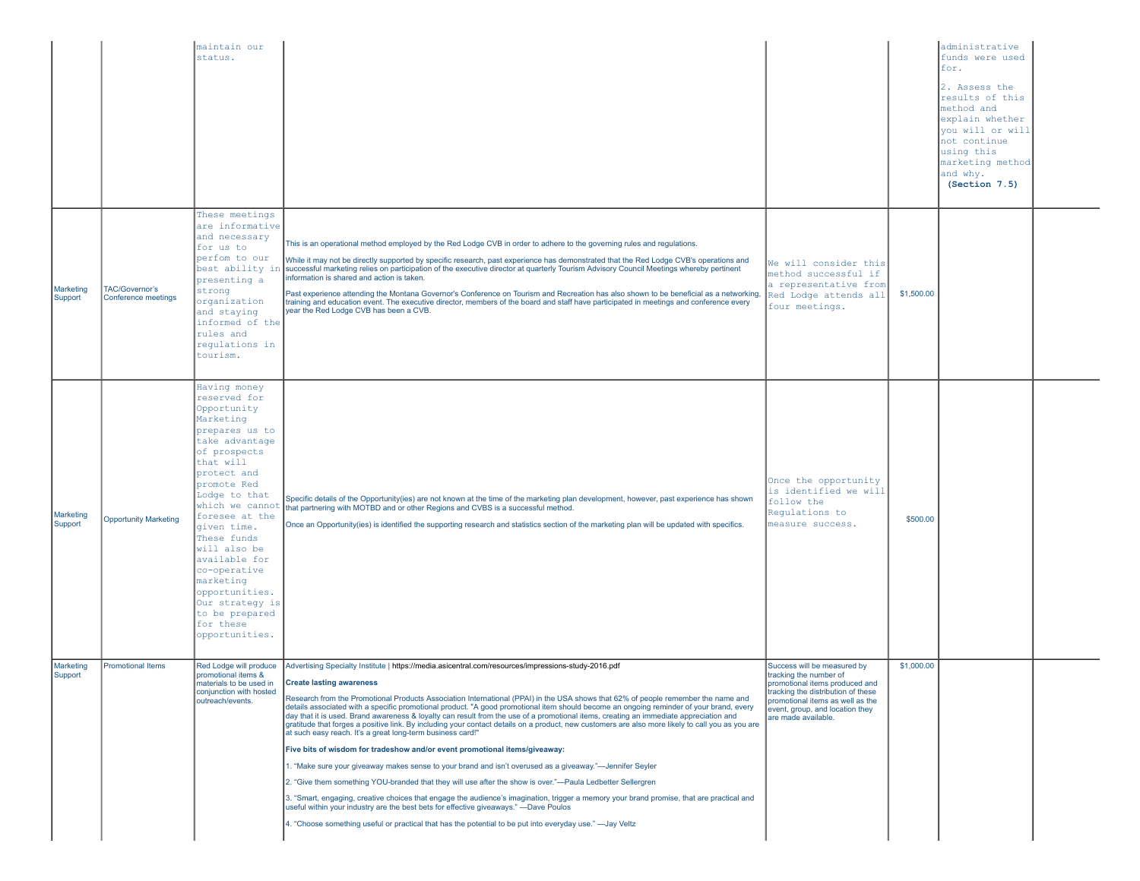|                      |                                              | maintain our<br>status.                                                                                                                                                                                                                                                                                                                                                                         |                                                                                                                                                                                                                                                                                                                                                                                                                                                                                                                                                                                                                                                                                                                                                                                                                                                                                                                                                                                                                                                                                                                                                                                                                                                                                                                                                                                                                                       |                                                                                                                                                                                                                            |            | administrative<br>funds were used<br>for.<br>2. Assess the<br>results of this<br>method and<br>explain whether<br>you will or will<br>not continue<br>using this<br>marketing method<br>and why.<br>(Section 7.5) |  |
|----------------------|----------------------------------------------|-------------------------------------------------------------------------------------------------------------------------------------------------------------------------------------------------------------------------------------------------------------------------------------------------------------------------------------------------------------------------------------------------|---------------------------------------------------------------------------------------------------------------------------------------------------------------------------------------------------------------------------------------------------------------------------------------------------------------------------------------------------------------------------------------------------------------------------------------------------------------------------------------------------------------------------------------------------------------------------------------------------------------------------------------------------------------------------------------------------------------------------------------------------------------------------------------------------------------------------------------------------------------------------------------------------------------------------------------------------------------------------------------------------------------------------------------------------------------------------------------------------------------------------------------------------------------------------------------------------------------------------------------------------------------------------------------------------------------------------------------------------------------------------------------------------------------------------------------|----------------------------------------------------------------------------------------------------------------------------------------------------------------------------------------------------------------------------|------------|-------------------------------------------------------------------------------------------------------------------------------------------------------------------------------------------------------------------|--|
| Marketing<br>Support | <b>TAC/Governor's</b><br>Conference meetings | These meetings<br>are informative<br>and necessary<br>for us to<br>perfom to our<br>best ability in<br>presenting a<br>strong<br>organization<br>and staying<br>informed of the<br>rules and<br>regulations in<br>tourism.                                                                                                                                                                      | This is an operational method employed by the Red Lodge CVB in order to adhere to the governing rules and regulations.<br>While it may not be directly supported by specific research, past experience has demonstrated that the Red Lodge CVB's operations and<br>successful marketing relies on participation of the executive director at quarterly Tourism Advisory Council Meetings whereby pertinent<br>information is shared and action is taken.<br>Past experience attending the Montana Governor's Conference on Tourism and Recreation has also shown to be beneficial as a networking,<br>training and education event. The executive director, members of the board and staff have participated in meetings and conference every<br>year the Red Lodge CVB has been a CVB.                                                                                                                                                                                                                                                                                                                                                                                                                                                                                                                                                                                                                                               | We will consider this<br>method successful if<br>a representative from<br>Red Lodge attends all<br>four meetings.                                                                                                          | \$1,500.00 |                                                                                                                                                                                                                   |  |
| Marketing<br>Support | <b>Opportunity Marketing</b>                 | Having money<br>reserved for<br>Opportunity<br>Marketing<br>prepares us to<br>take advantage<br>of prospects<br>that will<br>protect and<br>promote Red<br>Lodge to that<br>which we cannot<br>foresee at the<br>given time.<br>These funds<br>will also be<br>available for<br>co-operative<br>marketing<br>opportunities.<br>Our strategy is<br>to be prepared<br>for these<br>opportunities. | Specific details of the Opportunity(ies) are not known at the time of the marketing plan development, however, past experience has shown<br>that partnering with MOTBD and or other Regions and CVBS is a successful method.<br>Once an Opportunity(ies) is identified the supporting research and statistics section of the marketing plan will be updated with specifics.                                                                                                                                                                                                                                                                                                                                                                                                                                                                                                                                                                                                                                                                                                                                                                                                                                                                                                                                                                                                                                                           | Once the opportunity<br>is identified we will<br>follow the<br>Regulations to<br>measure success.                                                                                                                          | \$500.00   |                                                                                                                                                                                                                   |  |
| Marketing<br>Support | <b>Promotional Items</b>                     | Red Lodge will produce<br>promotional items &<br>naterials to be used in<br>conjunction with hosted<br>outreach/events.                                                                                                                                                                                                                                                                         | Advertising Specialty Institute   https://media.asicentral.com/resources/impressions-study-2016.pdf<br>Create lasting awareness<br>Research from the Promotional Products Association International (PPAI) in the USA shows that 62% of people remember the name and<br>details associated with a specific promotional product. "A good promotional item should become an ongoing reminder of your brand, every<br>day that it is used. Brand awareness & loyalty can result from the use of a promotional items, creating an immediate appreciation and<br>gratitude that forges a positive link. By including your contact details on a product, new customers are also more likely to call you as you are<br>at such easy reach. It's a great long-term business card!"<br>Five bits of wisdom for tradeshow and/or event promotional items/giveaway:<br>1. "Make sure your giveaway makes sense to your brand and isn't overused as a giveaway."—Jennifer Seyler<br>2. "Give them something YOU-branded that they will use after the show is over."—Paula Ledbetter Sellergren<br>3. "Smart, engaging, creative choices that engage the audience's imagination, trigger a memory your brand promise, that are practical and<br>useful within your industry are the best bets for effective giveaways." - Dave Poulos<br>4. "Choose something useful or practical that has the potential to be put into everyday use." - Jay Veltz | Success will be measured by<br>tracking the number of<br>romotional items produced and<br>tracking the distribution of these<br>promotional items as well as the<br>event, group, and location they<br>are made available. | \$1,000.00 |                                                                                                                                                                                                                   |  |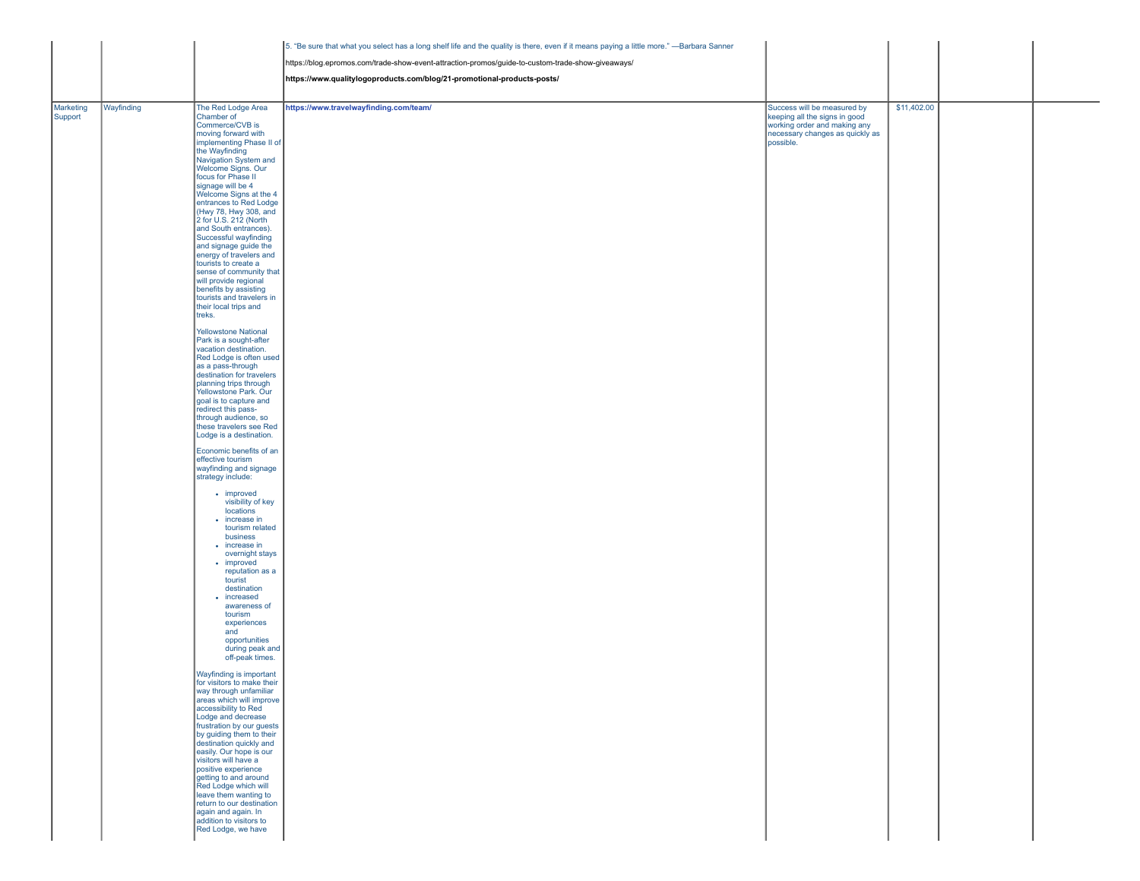|                      |            |                                                      | 5. "Be sure that what you select has a long shelf life and the quality is there, even if it means paying a little more." - Barbara Sanner |                                                              |             |  |
|----------------------|------------|------------------------------------------------------|-------------------------------------------------------------------------------------------------------------------------------------------|--------------------------------------------------------------|-------------|--|
|                      |            |                                                      | https://blog.epromos.com/trade-show-event-attraction-promos/guide-to-custom-trade-show-giveaways/                                         |                                                              |             |  |
|                      |            |                                                      | https://www.qualitylogoproducts.com/blog/21-promotional-products-posts/                                                                   |                                                              |             |  |
|                      |            |                                                      |                                                                                                                                           |                                                              |             |  |
|                      |            | The Red Lodge Area                                   |                                                                                                                                           |                                                              | \$11,402.00 |  |
| Marketing<br>Support | Wayfinding | Chamber of                                           | https://www.travelwayfinding.com/team/                                                                                                    | Success will be measured by<br>keeping all the signs in good |             |  |
|                      |            | Commerce/CVB is                                      |                                                                                                                                           | working order and making any                                 |             |  |
|                      |            | moving forward with<br>implementing Phase II of      |                                                                                                                                           | necessary changes as quickly as<br>possible.                 |             |  |
|                      |            | the Wayfinding                                       |                                                                                                                                           |                                                              |             |  |
|                      |            | Navigation System and<br>Welcome Signs. Our          |                                                                                                                                           |                                                              |             |  |
|                      |            | focus for Phase II                                   |                                                                                                                                           |                                                              |             |  |
|                      |            | signage will be 4<br>Welcome Signs at the 4          |                                                                                                                                           |                                                              |             |  |
|                      |            | entrances to Red Lodge                               |                                                                                                                                           |                                                              |             |  |
|                      |            | (Hwy 78, Hwy 308, and<br>2 for U.S. 212 (North       |                                                                                                                                           |                                                              |             |  |
|                      |            | and South entrances).                                |                                                                                                                                           |                                                              |             |  |
|                      |            | Successful wayfinding<br>and signage guide the       |                                                                                                                                           |                                                              |             |  |
|                      |            | energy of travelers and                              |                                                                                                                                           |                                                              |             |  |
|                      |            | tourists to create a<br>sense of community that      |                                                                                                                                           |                                                              |             |  |
|                      |            | will provide regional                                |                                                                                                                                           |                                                              |             |  |
|                      |            | benefits by assisting<br>tourists and travelers in   |                                                                                                                                           |                                                              |             |  |
|                      |            | their local trips and                                |                                                                                                                                           |                                                              |             |  |
|                      |            | treks.                                               |                                                                                                                                           |                                                              |             |  |
|                      |            | <b>Yellowstone National</b>                          |                                                                                                                                           |                                                              |             |  |
|                      |            | Park is a sought-after<br>vacation destination.      |                                                                                                                                           |                                                              |             |  |
|                      |            | Red Lodge is often used                              |                                                                                                                                           |                                                              |             |  |
|                      |            | as a pass-through<br>destination for travelers       |                                                                                                                                           |                                                              |             |  |
|                      |            | planning trips through                               |                                                                                                                                           |                                                              |             |  |
|                      |            | Yellowstone Park. Our<br>goal is to capture and      |                                                                                                                                           |                                                              |             |  |
|                      |            | redirect this pass-                                  |                                                                                                                                           |                                                              |             |  |
|                      |            | through audience, so<br>these travelers see Red      |                                                                                                                                           |                                                              |             |  |
|                      |            | Lodge is a destination.                              |                                                                                                                                           |                                                              |             |  |
|                      |            | Economic benefits of an                              |                                                                                                                                           |                                                              |             |  |
|                      |            | effective tourism                                    |                                                                                                                                           |                                                              |             |  |
|                      |            | wayfinding and signage<br>strategy include:          |                                                                                                                                           |                                                              |             |  |
|                      |            | • improved                                           |                                                                                                                                           |                                                              |             |  |
|                      |            | visibility of key                                    |                                                                                                                                           |                                                              |             |  |
|                      |            | locations<br>• increase in                           |                                                                                                                                           |                                                              |             |  |
|                      |            | tourism related                                      |                                                                                                                                           |                                                              |             |  |
|                      |            | business<br>• increase in                            |                                                                                                                                           |                                                              |             |  |
|                      |            | overnight stays                                      |                                                                                                                                           |                                                              |             |  |
|                      |            | • improved<br>reputation as a                        |                                                                                                                                           |                                                              |             |  |
|                      |            | tourist                                              |                                                                                                                                           |                                                              |             |  |
|                      |            | destination<br>• increased                           |                                                                                                                                           |                                                              |             |  |
|                      |            | awareness of                                         |                                                                                                                                           |                                                              |             |  |
|                      |            | tourism<br>experiences                               |                                                                                                                                           |                                                              |             |  |
|                      |            | and                                                  |                                                                                                                                           |                                                              |             |  |
|                      |            | opportunities<br>during peak and                     |                                                                                                                                           |                                                              |             |  |
|                      |            | off-peak times.                                      |                                                                                                                                           |                                                              |             |  |
|                      |            | Wayfinding is important                              |                                                                                                                                           |                                                              |             |  |
|                      |            | for visitors to make their<br>way through unfamiliar |                                                                                                                                           |                                                              |             |  |
|                      |            | areas which will improve                             |                                                                                                                                           |                                                              |             |  |
|                      |            | accessibility to Red<br>Lodge and decrease           |                                                                                                                                           |                                                              |             |  |
|                      |            | frustration by our guests                            |                                                                                                                                           |                                                              |             |  |
|                      |            | by guiding them to their<br>destination quickly and  |                                                                                                                                           |                                                              |             |  |
|                      |            | easily. Our hope is our                              |                                                                                                                                           |                                                              |             |  |
|                      |            | visitors will have a<br>positive experience          |                                                                                                                                           |                                                              |             |  |
|                      |            | getting to and around<br>Red Lodge which will        |                                                                                                                                           |                                                              |             |  |
|                      |            |                                                      |                                                                                                                                           |                                                              |             |  |
|                      |            | leave them wanting to<br>return to our destination   |                                                                                                                                           |                                                              |             |  |
|                      |            | again and again. In<br>addition to visitors to       |                                                                                                                                           |                                                              |             |  |
|                      |            | Red Lodge, we have                                   |                                                                                                                                           |                                                              |             |  |
|                      |            |                                                      |                                                                                                                                           |                                                              |             |  |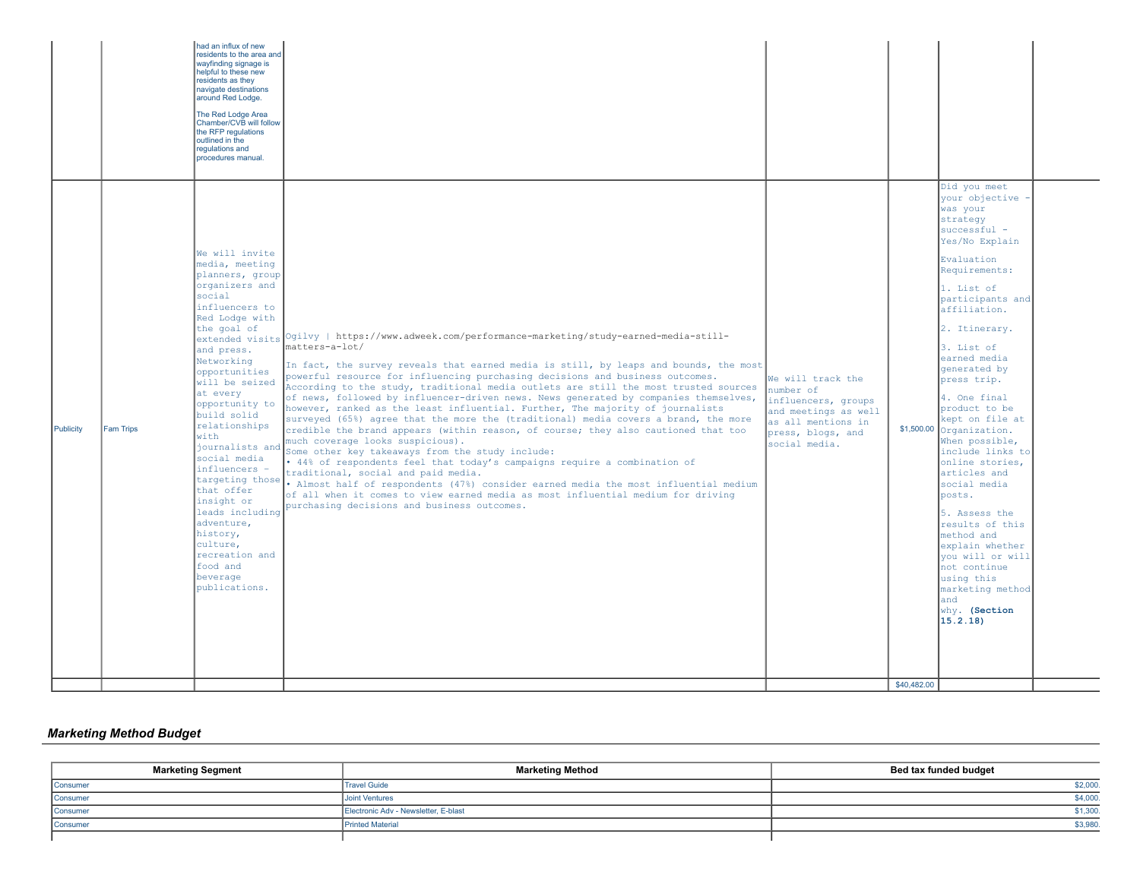| The Red Lodge Area<br>Chamber/CVB will follow<br>the RFP regulations<br>outlined in the<br>regulations and<br>procedures manual.                                                                                                                                                                                                                                                                                                                                                                                                                                                                                                                                                                                                                                                                                                                                                                                                                                                                                                                                                                                                                                                                                                                                                                                                                                                                                                                                                                                                                                                                                                                                                                                                                                                                                                                                                                                                                                                                                                                                                                                                                                                                                                                                                                                                                                                                                                                                                                       |  |
|--------------------------------------------------------------------------------------------------------------------------------------------------------------------------------------------------------------------------------------------------------------------------------------------------------------------------------------------------------------------------------------------------------------------------------------------------------------------------------------------------------------------------------------------------------------------------------------------------------------------------------------------------------------------------------------------------------------------------------------------------------------------------------------------------------------------------------------------------------------------------------------------------------------------------------------------------------------------------------------------------------------------------------------------------------------------------------------------------------------------------------------------------------------------------------------------------------------------------------------------------------------------------------------------------------------------------------------------------------------------------------------------------------------------------------------------------------------------------------------------------------------------------------------------------------------------------------------------------------------------------------------------------------------------------------------------------------------------------------------------------------------------------------------------------------------------------------------------------------------------------------------------------------------------------------------------------------------------------------------------------------------------------------------------------------------------------------------------------------------------------------------------------------------------------------------------------------------------------------------------------------------------------------------------------------------------------------------------------------------------------------------------------------------------------------------------------------------------------------------------------------|--|
| Did you meet<br>your objective -<br>was your<br>strategy<br>successful -<br>Yes/No Explain<br>We will invite<br>Evaluation<br>media, meeting<br>Requirements:<br>planners, group<br>organizers and<br>1. List of<br>social<br>participants and<br>influencers to<br>affiliation.<br>Red Lodge with<br>the goal of<br>2. Itinerary.<br>extended visits Ogilvy   https://www.adweek.com/performance-marketing/study-earned-media-still-<br>matters-a-lot/<br>3. List of<br>and press.<br>earned media<br>Networking<br>In fact, the survey reveals that earned media is still, by leaps and bounds, the most<br>generated by<br>opportunities<br>powerful resource for influencing purchasing decisions and business outcomes.<br>We will track the<br>press trip.<br>will be seized<br>According to the study, traditional media outlets are still the most trusted sources<br>number of<br>at every<br>of news, followed by influencer-driven news. News generated by companies themselves,<br>4. One final<br>influencers, groups<br>opportunity to<br>however, ranked as the least influential. Further, The majority of journalists<br>product to be<br>and meetings as well<br>build solid<br>surveyed (65%) agree that the more the (traditional) media covers a brand, the more<br>kept on file at<br>as all mentions in<br>relationships<br>Publicity<br>$$1,500.00$ Organization.<br>Fam Trips<br>credible the brand appears (within reason, of course; they also cautioned that too<br>press, blogs, and<br>with<br>much coverage looks suspicious).<br>When possible,<br>social media.<br>journalists and<br>include links to<br>Some other key takeaways from the study include:<br>social media<br>• 44% of respondents feel that today's campaigns require a combination of<br>online stories,<br>influencers -<br>articles and<br>traditional, social and paid media.<br>targeting those . Almost half of respondents (47%) consider earned media the most influential medium<br>social media<br>that offer<br>of all when it comes to view earned media as most influential medium for driving<br>posts.<br>insight or<br>purchasing decisions and business outcomes.<br>leads including<br>5. Assess the<br>adventure,<br>results of this<br>history,<br>method and<br>culture,<br>explain whether<br>recreation and<br>you will or will<br>food and<br>not continue<br>beverage<br>using this<br>publications.<br>marketing method<br>and<br>why. (Section<br>15.2.18)<br>\$40,482.00 |  |

# *Marketing Method Budget*

| <b>Marketing Segment</b> | <b>Marketing Method</b>              | Bed tax funded budget |
|--------------------------|--------------------------------------|-----------------------|
| Consumer                 | <b>Travel Guide</b>                  | \$2,000.              |
| Consumer                 | <b>Joint Ventures</b>                | \$4,000.              |
| Consumer                 | Electronic Adv - Newsletter, E-blast | \$1,300.              |
| Consumer                 | <b>Printed Material</b>              | \$3,980               |
|                          |                                      |                       |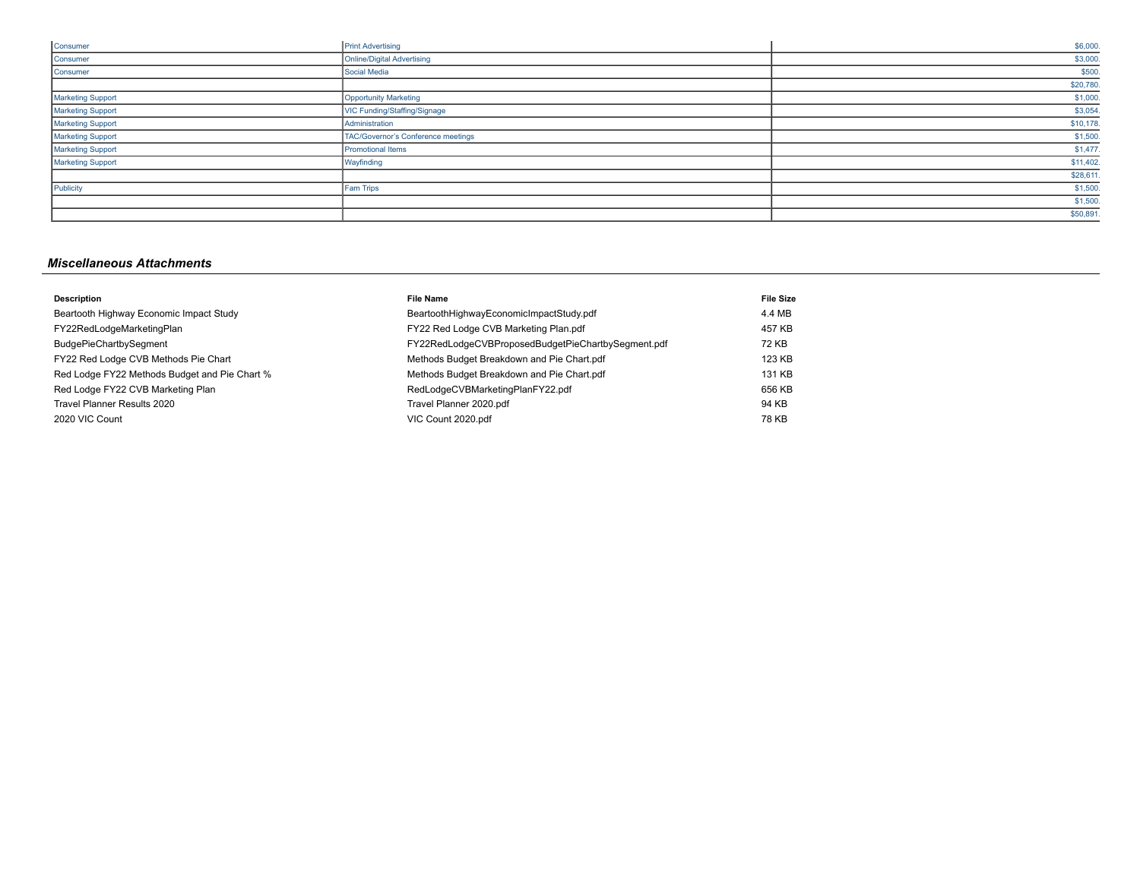| Consumer                 | <b>Print Advertising</b>           | \$6,000.  |
|--------------------------|------------------------------------|-----------|
| Consumer                 | Online/Digital Advertising         | \$3,000.  |
| Consumer                 | Social Media                       | \$500.    |
|                          |                                    | \$20,780. |
| <b>Marketing Support</b> | Opportunity Marketing              | \$1,000.  |
| Marketing Support        | VIC Funding/Staffing/Signage       | \$3,054.  |
| Marketing Support        | Administration                     | \$10,178. |
| Marketing Support        | TAC/Governor's Conference meetings | \$1,500.  |
| Marketing Support        | <b>Promotional Items</b>           | \$1,477.  |
| Marketing Support        | Wayfinding                         | \$11,402. |
|                          |                                    | \$28,611. |
| Publicity                | Fam Trips                          | \$1,500.  |
|                          |                                    | \$1,500.  |
|                          |                                    | \$50,891. |

# *Miscellaneous Attachments*

| <b>Description</b>                            | <b>File Name</b>                                   | <b>File Size</b> |
|-----------------------------------------------|----------------------------------------------------|------------------|
| Beartooth Highway Economic Impact Study       | BeartoothHighwayEconomicImpactStudy.pdf            | 4.4 MB           |
| FY22RedLodgeMarketingPlan                     | FY22 Red Lodge CVB Marketing Plan.pdf              | 457 KB           |
| BudgePieChartbySegment                        | FY22RedLodgeCVBProposedBudgetPieChartbySegment.pdf | 72 KB            |
| FY22 Red Lodge CVB Methods Pie Chart          | Methods Budget Breakdown and Pie Chart.pdf         | 123 KB           |
| Red Lodge FY22 Methods Budget and Pie Chart % | Methods Budget Breakdown and Pie Chart.pdf         | 131 KB           |
| Red Lodge FY22 CVB Marketing Plan             | RedLodgeCVBMarketingPlanFY22.pdf                   | 656 KB           |
| Travel Planner Results 2020                   | Travel Planner 2020.pdf                            | 94 KB            |
| 2020 VIC Count                                | VIC Count 2020.pdf                                 | 78 KB            |